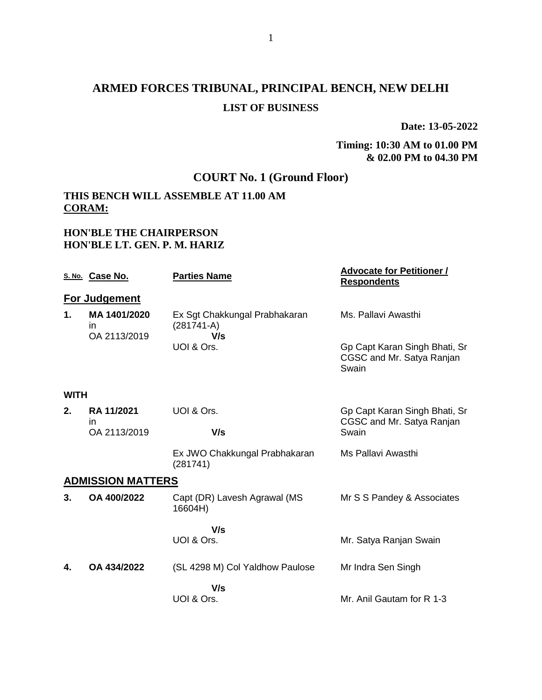**Date: 13-05-2022**

#### **Timing: 10:30 AM to 01.00 PM & 02.00 PM to 04.30 PM**

# **COURT No. 1 (Ground Floor)**

## **THIS BENCH WILL ASSEMBLE AT 11.00 AM CORAM:**

### **HON'BLE THE CHAIRPERSON HON'BLE LT. GEN. P. M. HARIZ**

|             | S. No. Case No.                    | <b>Parties Name</b>                                  | <b>Advocate for Petitioner /</b><br><b>Respondents</b>              |
|-------------|------------------------------------|------------------------------------------------------|---------------------------------------------------------------------|
|             | <b>For Judgement</b>               |                                                      |                                                                     |
| 1.          | MA 1401/2020<br>in<br>OA 2113/2019 | Ex Sgt Chakkungal Prabhakaran<br>$(281741-A)$<br>V/s | Ms. Pallavi Awasthi                                                 |
|             |                                    | UOI & Ors.                                           | Gp Capt Karan Singh Bhati, Sr<br>CGSC and Mr. Satya Ranjan<br>Swain |
| <b>WITH</b> |                                    |                                                      |                                                                     |
| 2.          | <b>RA 11/2021</b>                  | UOI & Ors.                                           | Gp Capt Karan Singh Bhati, Sr                                       |
|             | <i>in</i><br>OA 2113/2019          | V/s                                                  | CGSC and Mr. Satya Ranjan<br>Swain                                  |
|             |                                    | Ex JWO Chakkungal Prabhakaran<br>(281741)            | Ms Pallavi Awasthi                                                  |
|             | <b>ADMISSION MATTERS</b>           |                                                      |                                                                     |
| 3.          | OA 400/2022                        | Capt (DR) Lavesh Agrawal (MS<br>16604H)              | Mr S S Pandey & Associates                                          |
|             |                                    | V/s<br>UOI & Ors.                                    | Mr. Satya Ranjan Swain                                              |
| 4.          | OA 434/2022                        | (SL 4298 M) Col Yaldhow Paulose                      | Mr Indra Sen Singh                                                  |
|             |                                    | V/s<br>UOI & Ors.                                    | Mr. Anil Gautam for R 1-3                                           |
|             |                                    |                                                      |                                                                     |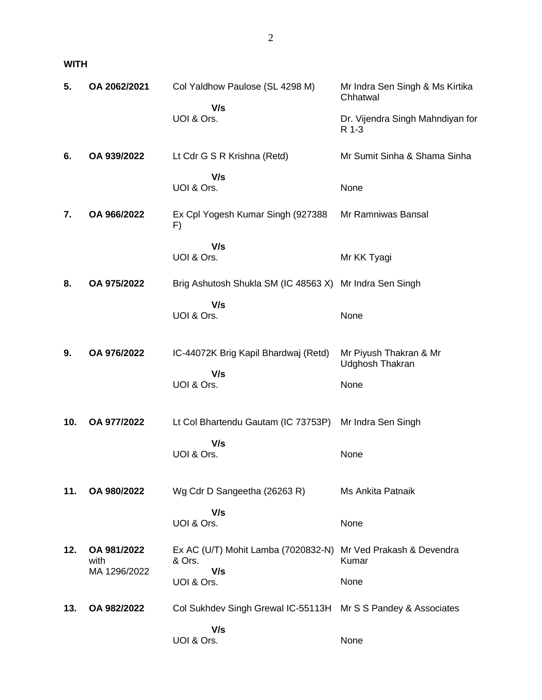**WITH**

| 5.  | OA 2062/2021                        | Col Yaldhow Paulose (SL 4298 M)                         | Mr Indra Sen Singh & Ms Kirtika<br>Chhatwal      |
|-----|-------------------------------------|---------------------------------------------------------|--------------------------------------------------|
|     |                                     | V/s<br>UOI & Ors.                                       | Dr. Vijendra Singh Mahndiyan for<br>R 1-3        |
| 6.  | OA 939/2022                         | Lt Cdr G S R Krishna (Retd)                             | Mr Sumit Sinha & Shama Sinha                     |
|     |                                     | V/s<br>UOI & Ors.                                       | None                                             |
| 7.  | OA 966/2022                         | Ex Cpl Yogesh Kumar Singh (927388<br>F)                 | Mr Ramniwas Bansal                               |
|     |                                     | V/s<br>UOI & Ors.                                       | Mr KK Tyagi                                      |
| 8.  | OA 975/2022                         | Brig Ashutosh Shukla SM (IC 48563 X) Mr Indra Sen Singh |                                                  |
|     |                                     | V/s<br>UOI & Ors.                                       | None                                             |
| 9.  | OA 976/2022                         | IC-44072K Brig Kapil Bhardwaj (Retd)                    | Mr Piyush Thakran & Mr<br><b>Udghosh Thakran</b> |
|     |                                     | V/s<br>UOI & Ors.                                       | None                                             |
| 10. | OA 977/2022                         | Lt Col Bhartendu Gautam (IC 73753P)                     | Mr Indra Sen Singh                               |
|     |                                     | V/s<br>UOI & Ors.                                       | None                                             |
| 11. | OA 980/2022                         | Wg Cdr D Sangeetha (26263 R)                            | Ms Ankita Patnaik                                |
|     |                                     | V/s<br>UOI & Ors.                                       | None                                             |
| 12. | OA 981/2022<br>with<br>MA 1296/2022 | Ex AC (U/T) Mohit Lamba (7020832-N)<br>& Ors.<br>V/s    | Mr Ved Prakash & Devendra<br>Kumar               |
|     |                                     | UOI & Ors.                                              | None                                             |
| 13. | OA 982/2022                         | Col Sukhdev Singh Grewal IC-55113H                      | Mr S S Pandey & Associates                       |
|     |                                     | V/s<br>UOI & Ors.                                       | None                                             |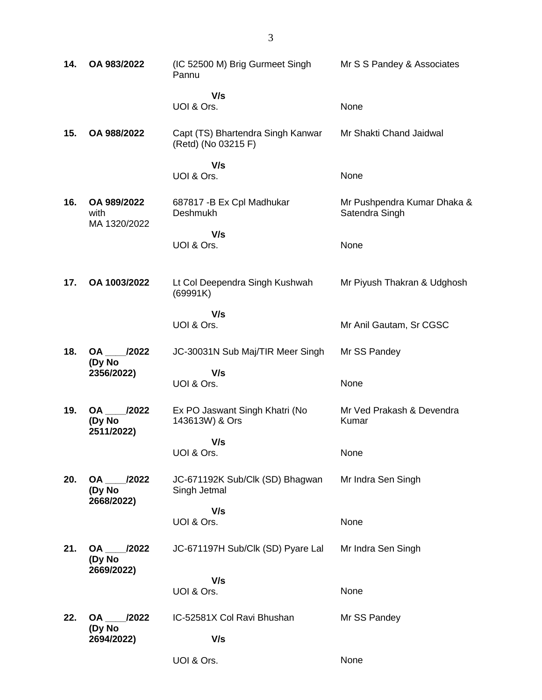| 14. | OA 983/2022                           | (IC 52500 M) Brig Gurmeet Singh<br>Pannu                 | Mr S S Pandey & Associates                    |
|-----|---------------------------------------|----------------------------------------------------------|-----------------------------------------------|
|     |                                       | V/s<br>UOI & Ors.                                        | None                                          |
| 15. | OA 988/2022                           | Capt (TS) Bhartendra Singh Kanwar<br>(Retd) (No 03215 F) | Mr Shakti Chand Jaidwal                       |
|     |                                       | V/s<br>UOI & Ors.                                        | None                                          |
| 16. | OA 989/2022<br>with<br>MA 1320/2022   | 687817 - B Ex Cpl Madhukar<br>Deshmukh                   | Mr Pushpendra Kumar Dhaka &<br>Satendra Singh |
|     |                                       | V/s<br>UOI & Ors.                                        | None                                          |
| 17. | OA 1003/2022                          | Lt Col Deependra Singh Kushwah<br>(69991K)               | Mr Piyush Thakran & Udghosh                   |
|     |                                       | V/s<br>UOI & Ors.                                        | Mr Anil Gautam, Sr CGSC                       |
| 18. | <b>OA</b><br>/2022<br>(Dy No          | JC-30031N Sub Maj/TIR Meer Singh                         | Mr SS Pandey                                  |
|     | 2356/2022)                            | V/s<br>UOI & Ors.                                        | None                                          |
| 19. | /2022<br>OA.<br>(Dy No<br>2511/2022)  | Ex PO Jaswant Singh Khatri (No<br>143613W) & Ors         | Mr Ved Prakash & Devendra<br>Kumar            |
|     |                                       | V/s<br>UOI & Ors.                                        | None                                          |
| 20. | OA ____ /2022<br>(Dy No<br>2668/2022) | JC-671192K Sub/Clk (SD) Bhagwan<br>Singh Jetmal          | Mr Indra Sen Singh                            |
|     |                                       | V/s<br>UOI & Ors.                                        | None                                          |
| 21. | /2022<br>OA<br>(Dy No<br>2669/2022)   | JC-671197H Sub/Clk (SD) Pyare Lal                        | Mr Indra Sen Singh                            |
|     |                                       | V/s<br>UOI & Ors.                                        | None                                          |
| 22. | OA ____ /2022<br>(Dy No               | IC-52581X Col Ravi Bhushan                               | Mr SS Pandey                                  |
|     | 2694/2022)                            | V/s                                                      |                                               |
|     |                                       | UOI & Ors.                                               | None                                          |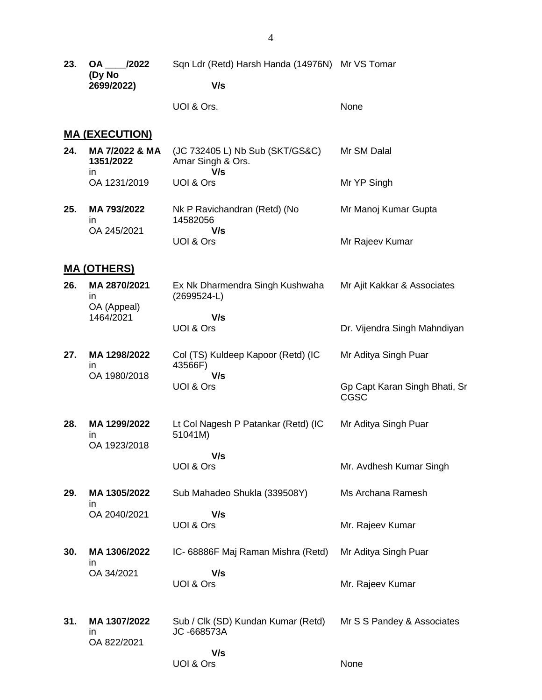**23. OA \_\_\_\_/2022 (Dy No 2699/2022)** Sqn Ldr (Retd) Harsh Handa (14976N) Mr VS Tomar  **V/s**

UOI & Ors.

#### **MA (EXECUTION)**

| 24. | MA 7/2022 & MA<br>1351/2022<br>in | (JC 732405 L) Nb Sub (SKT/GS&C)<br>Amar Singh & Ors.<br>V/s | Mr SM Dalal          |
|-----|-----------------------------------|-------------------------------------------------------------|----------------------|
|     | OA 1231/2019                      | UOI & Ors                                                   | Mr YP Singh          |
| 25. | MA 793/2022<br>in<br>OA 245/2021  | Nk P Ravichandran (Retd) (No<br>14582056<br>V/s             | Mr Manoj Kumar Gupta |
|     |                                   | UOI & Ors                                                   | Mr Rajeev Kumar      |

#### **MA (OTHERS)**

| 26. | MA 2870/2021 | Ex Nk Dharmendra Singh Kushwaha | Mr Ajit Kakkar & Associates  |
|-----|--------------|---------------------------------|------------------------------|
|     |              | $(2699524-L)$                   |                              |
|     | OA (Appeal)  |                                 |                              |
|     | 1464/2021    | V/s                             |                              |
|     |              | UOI & Ors                       | Dr. Vijendra Singh Mahndiyan |

UOI & Ors

- **27. MA 1298/2022** in OA 1980/2018 Col (TS) Kuldeep Kapoor (Retd) (IC 43566F)  **V/s** UOI & Ors Mr Aditya Singh Puar Gp Capt Karan Singh Bhati, Sr CGSC
- **28. MA 1299/2022** in OA 1923/2018 Lt Col Nagesh P Patankar (Retd) (IC 51041M) Mr Aditya Singh Puar

 **V/s** UOI & Ors

- **29. MA 1305/2022** in OA 2040/2021 Sub Mahadeo Shukla (339508Y)  **V/s** UOI & Ors Ms Archana Ramesh Mr. Rajeev Kumar
- **30. MA 1306/2022** in OA 34/2021 IC- 68886F Maj Raman Mishra (Retd)  **V/s** UOI & Ors Mr Aditya Singh Puar Mr. Rajeev Kumar
- **31. MA 1307/2022** in OA 822/2021 Sub / Clk (SD) Kundan Kumar (Retd) JC -668573A  **V/s** Mr S S Pandey & Associates

UOI & Ors

None

Mr. Avdhesh Kumar Singh

None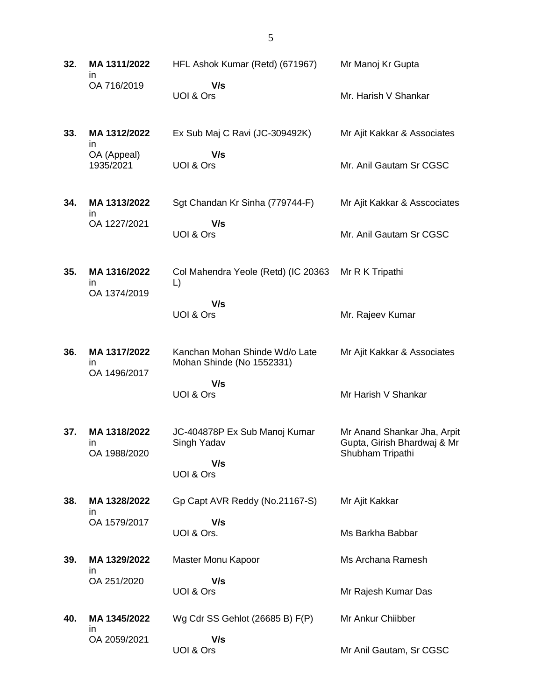| 32. | MA 1311/2022<br>in                        | HFL Ashok Kumar (Retd) (671967)                             | Mr Manoj Kr Gupta                                                              |
|-----|-------------------------------------------|-------------------------------------------------------------|--------------------------------------------------------------------------------|
|     | OA 716/2019                               | V/s<br>UOI & Ors                                            | Mr. Harish V Shankar                                                           |
| 33. | MA 1312/2022<br>in                        | Ex Sub Maj C Ravi (JC-309492K)                              | Mr Ajit Kakkar & Associates                                                    |
|     | OA (Appeal)<br>1935/2021                  | V/s<br>UOI & Ors                                            | Mr. Anil Gautam Sr CGSC                                                        |
| 34. | MA 1313/2022<br>in                        | Sgt Chandan Kr Sinha (779744-F)                             | Mr Ajit Kakkar & Asscociates                                                   |
|     | OA 1227/2021                              | V/s<br>UOI & Ors                                            | Mr. Anil Gautam Sr CGSC                                                        |
| 35. | MA 1316/2022<br>in<br>OA 1374/2019        | Col Mahendra Yeole (Retd) (IC 20363<br>L)                   | Mr R K Tripathi                                                                |
|     |                                           | V/s<br>UOI & Ors                                            | Mr. Rajeev Kumar                                                               |
| 36. | MA 1317/2022<br><i>in</i><br>OA 1496/2017 | Kanchan Mohan Shinde Wd/o Late<br>Mohan Shinde (No 1552331) | Mr Ajit Kakkar & Associates                                                    |
|     |                                           | V/s<br>UOI & Ors                                            | Mr Harish V Shankar                                                            |
| 37. | MA 1318/2022<br>ın<br>OA 1988/2020        | JC-404878P Ex Sub Manoj Kumar<br>Singh Yadav                | Mr Anand Shankar Jha, Arpit<br>Gupta, Girish Bhardwaj & Mr<br>Shubham Tripathi |
|     |                                           | V/s<br>UOI & Ors                                            |                                                                                |
| 38. | MA 1328/2022<br>ın                        | Gp Capt AVR Reddy (No.21167-S)                              | Mr Ajit Kakkar                                                                 |
|     | OA 1579/2017                              | V/s<br>UOI & Ors.                                           | Ms Barkha Babbar                                                               |
| 39. | MA 1329/2022<br>ın                        | Master Monu Kapoor                                          | Ms Archana Ramesh                                                              |
|     | OA 251/2020                               | V/s<br>UOI & Ors                                            | Mr Rajesh Kumar Das                                                            |
| 40. | MA 1345/2022<br>ın                        | Wg Cdr SS Gehlot (26685 B) F(P)                             | Mr Ankur Chiibber                                                              |
|     | OA 2059/2021                              | V/s<br>UOI & Ors                                            | Mr Anil Gautam, Sr CGSC                                                        |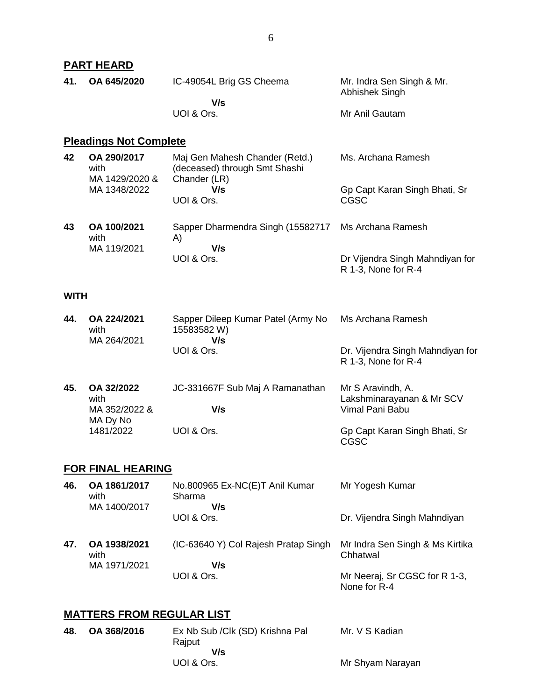| 41. OA 645/2020 | IC-49054L Brig GS Cheema | Mr. Indra Sen Singh & Mr.<br>Abhishek Singh |
|-----------------|--------------------------|---------------------------------------------|
|                 | V/s                      |                                             |
|                 | UOI & Ors.               | Mr Anil Gautam                              |

# **Pleadings Not Complete**

| 42 | OA 290/2017<br>with<br>MA 1429/2020 & | Maj Gen Mahesh Chander (Retd.)<br>(deceased) through Smt Shashi<br>Chander (LR) | Ms. Archana Ramesh                                     |
|----|---------------------------------------|---------------------------------------------------------------------------------|--------------------------------------------------------|
|    | MA 1348/2022                          | V/s<br>UOI & Ors.                                                               | Gp Capt Karan Singh Bhati, Sr<br>CGSC                  |
| 43 | OA 100/2021<br>with<br>MA 119/2021    | Sapper Dharmendra Singh (15582717 Ms Archana Ramesh<br>A)<br>V/s                |                                                        |
|    |                                       | UOI & Ors.                                                                      | Dr Vijendra Singh Mahndiyan for<br>R 1-3, None for R-4 |

#### **WITH**

| 44. | OA 224/2021 | Sapper Dileep Kumar Patel (Army No | Ms Archana Ramesh                |
|-----|-------------|------------------------------------|----------------------------------|
|     | with        | 15583582 W)                        |                                  |
|     | MA 264/2021 | V/s                                |                                  |
|     |             | UOI & Ors.                         | Dr. Vijendra Singh Mahndiyan for |
|     |             |                                    | R 1-3, None for R-4              |

| 45. | OA 32/2022<br>with        | JC-331667F Sub Maj A Ramanathan | Mr S Aravindh, A.<br>Lakshminarayanan & Mr SCV |
|-----|---------------------------|---------------------------------|------------------------------------------------|
|     | MA 352/2022 &<br>MA Dy No | V/s                             | Vimal Pani Babu                                |
|     | 1481/2022                 | UOI & Ors.                      | Gp Capt Karan Singh Bhati, Sr<br>CGSC          |

## **FOR FINAL HEARING**

| 46. | OA 1861/2017<br>with<br>MA 1400/2017 | No.800965 Ex-NC(E)T Anil Kumar<br>Sharma<br>V/s | Mr Yogesh Kumar                               |
|-----|--------------------------------------|-------------------------------------------------|-----------------------------------------------|
|     |                                      | UOI & Ors.                                      | Dr. Vijendra Singh Mahndiyan                  |
| 47. | OA 1938/2021<br>with<br>MA 1971/2021 | (IC-63640 Y) Col Rajesh Pratap Singh<br>V/s     | Mr Indra Sen Singh & Ms Kirtika<br>Chhatwal   |
|     |                                      | UOI & Ors.                                      | Mr Neeraj, Sr CGSC for R 1-3,<br>None for R-4 |

# **MATTERS FROM REGULAR LIST**

| 48. | OA 368/2016 | Ex Nb Sub / Clk (SD) Krishna Pal<br>Raiput | Mr. V S Kadian   |
|-----|-------------|--------------------------------------------|------------------|
|     |             | V/s                                        |                  |
|     |             | UOI & Ors.                                 | Mr Shyam Narayan |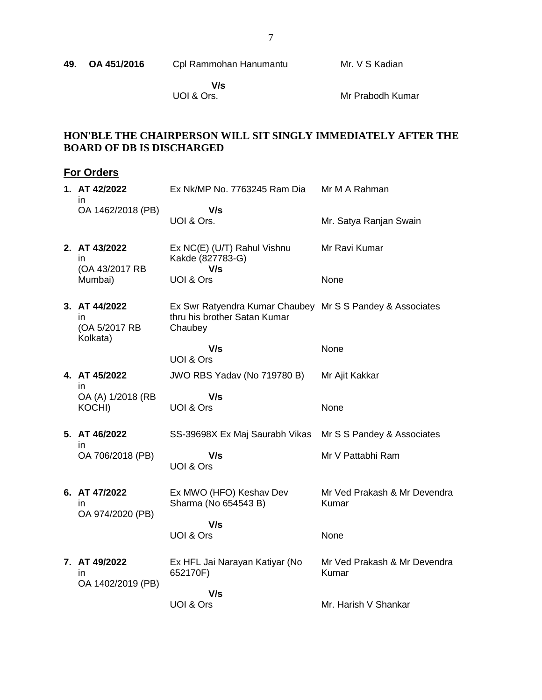**49. OA 451/2016** Cpl Rammohan Hanumantu

Mr. V S Kadian

 **V/s** UOI & Ors.

Mr Prabodh Kumar

## **HON'BLE THE CHAIRPERSON WILL SIT SINGLY IMMEDIATELY AFTER THE BOARD OF DB IS DISCHARGED**

## **For Orders**

| 1. AT 42/2022<br>in                              | Ex Nk/MP No. 7763245 Ram Dia                                                                         | Mr M A Rahman                         |
|--------------------------------------------------|------------------------------------------------------------------------------------------------------|---------------------------------------|
| OA 1462/2018 (PB)                                | V/s<br>UOI & Ors.                                                                                    | Mr. Satya Ranjan Swain                |
| 2. AT 43/2022<br>in<br>(OA 43/2017 RB            | Ex NC(E) (U/T) Rahul Vishnu<br>Kakde (827783-G)<br>V/s                                               | Mr Ravi Kumar                         |
| Mumbai)                                          | UOI & Ors                                                                                            | None                                  |
| 3. AT 44/2022<br>in<br>(OA 5/2017 RB<br>Kolkata) | Ex Swr Ratyendra Kumar Chaubey Mr S S Pandey & Associates<br>thru his brother Satan Kumar<br>Chaubey |                                       |
|                                                  | V/s<br>UOI & Ors                                                                                     | None                                  |
| 4. AT 45/2022<br>in                              | JWO RBS Yadav (No 719780 B)                                                                          | Mr Ajit Kakkar                        |
| OA (A) 1/2018 (RB<br>KOCHI)                      | V/s<br>UOI & Ors                                                                                     | None                                  |
| 5. AT 46/2022<br>in                              | SS-39698X Ex Maj Saurabh Vikas                                                                       | Mr S S Pandey & Associates            |
| OA 706/2018 (PB)                                 | V/s<br>UOI & Ors                                                                                     | Mr V Pattabhi Ram                     |
| 6. AT 47/2022<br>in<br>OA 974/2020 (PB)          | Ex MWO (HFO) Keshav Dev<br>Sharma (No 654543 B)                                                      | Mr Ved Prakash & Mr Devendra<br>Kumar |
|                                                  | V/s<br>UOI & Ors                                                                                     | None                                  |
| 7. AT 49/2022<br>in.<br>OA 1402/2019 (PB)        | Ex HFL Jai Narayan Katiyar (No<br>652170F)                                                           | Mr Ved Prakash & Mr Devendra<br>Kumar |
|                                                  | V/s<br>UOI & Ors                                                                                     | Mr. Harish V Shankar                  |
|                                                  |                                                                                                      |                                       |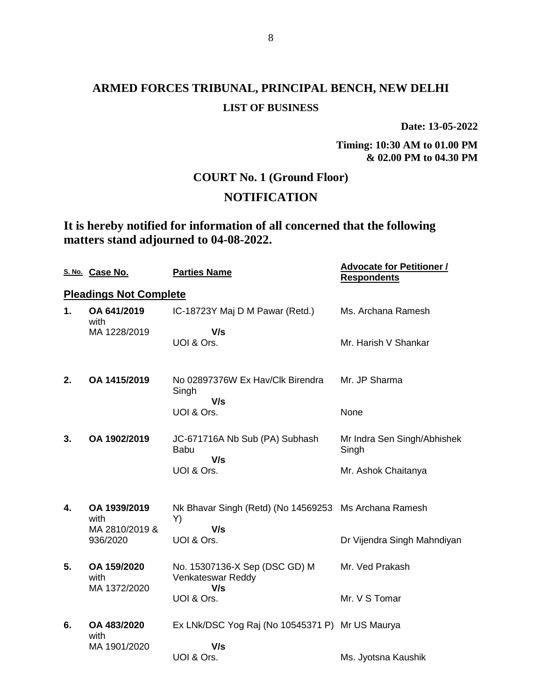**Date: 13-05-2022**

**Timing: 10:30 AM to 01.00 PM & 02.00 PM to 04.30 PM**

# **COURT No. 1 (Ground Floor)**

# **NOTIFICATION**

**It is hereby notified for information of all concerned that the following matters stand adjourned to 04-08-2022.**

|    | S. No. Case No.                        | <b>Parties Name</b>                                                | <b>Advocate for Petitioner /</b><br><b>Respondents</b> |
|----|----------------------------------------|--------------------------------------------------------------------|--------------------------------------------------------|
|    | <b>Pleadings Not Complete</b>          |                                                                    |                                                        |
| 1. | OA 641/2019<br>with                    | IC-18723Y Maj D M Pawar (Retd.)                                    | Ms. Archana Ramesh                                     |
|    | MA 1228/2019                           | V/s<br>UOI & Ors.                                                  | Mr. Harish V Shankar                                   |
| 2. | OA 1415/2019                           | No 02897376W Ex Hav/Clk Birendra<br>Singh<br>V/s                   | Mr. JP Sharma                                          |
|    |                                        | UOI & Ors.                                                         | None                                                   |
| 3. | OA 1902/2019                           | JC-671716A Nb Sub (PA) Subhash<br><b>Babu</b><br>V/s               | Mr Indra Sen Singh/Abhishek<br>Singh                   |
|    |                                        | UOI & Ors.                                                         | Mr. Ashok Chaitanya                                    |
| 4. | OA 1939/2019<br>with<br>MA 2810/2019 & | Nk Bhavar Singh (Retd) (No 14569253 Ms Archana Ramesh<br>Y)<br>V/s |                                                        |
|    | 936/2020                               | UOI & Ors.                                                         | Dr Vijendra Singh Mahndiyan                            |
| 5. | OA 159/2020<br>with<br>MA 1372/2020    | No. 15307136-X Sep (DSC GD) M<br>Venkateswar Reddy<br>V/s          | Mr. Ved Prakash                                        |
|    |                                        | UOI & Ors.                                                         | Mr. V S Tomar                                          |
| 6. | OA 483/2020<br>with                    | Ex LNk/DSC Yog Raj (No 10545371 P) Mr US Maurya                    |                                                        |
|    | MA 1901/2020                           | V/s<br>UOI & Ors.                                                  | Ms. Jyotsna Kaushik                                    |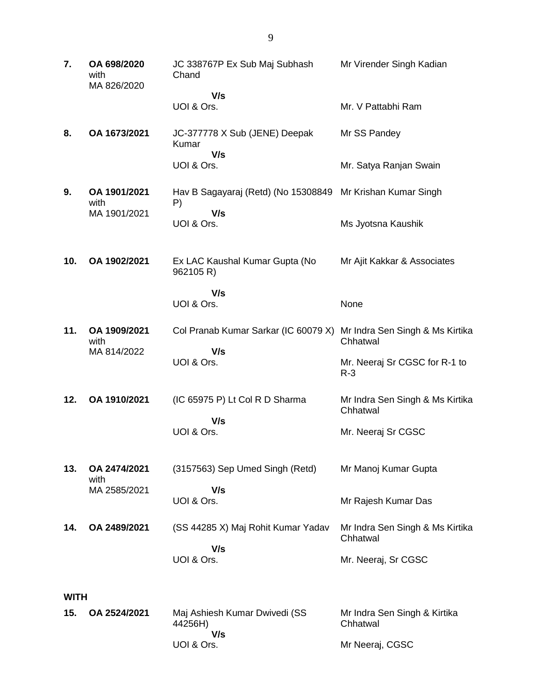| 7.          | OA 698/2020<br>with<br>MA 826/2020 | JC 338767P Ex Sub Maj Subhash<br>Chand                           | Mr Virender Singh Kadian                    |
|-------------|------------------------------------|------------------------------------------------------------------|---------------------------------------------|
|             |                                    | V/s<br>UOI & Ors.                                                | Mr. V Pattabhi Ram                          |
| 8.          | OA 1673/2021                       | JC-377778 X Sub (JENE) Deepak<br>Kumar                           | Mr SS Pandey                                |
|             |                                    | V/s<br>UOI & Ors.                                                | Mr. Satya Ranjan Swain                      |
| 9.          | OA 1901/2021<br>with               | Hav B Sagayaraj (Retd) (No 15308849 Mr Krishan Kumar Singh<br>P) |                                             |
|             | MA 1901/2021                       | V/s<br>UOI & Ors.                                                | Ms Jyotsna Kaushik                          |
| 10.         | OA 1902/2021                       | Ex LAC Kaushal Kumar Gupta (No<br>962105 R)                      | Mr Ajit Kakkar & Associates                 |
|             |                                    | V/s<br>UOI & Ors.                                                | None                                        |
| 11.         | OA 1909/2021<br>with               | Col Pranab Kumar Sarkar (IC 60079 X)                             | Mr Indra Sen Singh & Ms Kirtika<br>Chhatwal |
|             | MA 814/2022                        | V/s<br>UOI & Ors.                                                | Mr. Neeraj Sr CGSC for R-1 to<br>$R-3$      |
| 12.         | OA 1910/2021                       | (IC 65975 P) Lt Col R D Sharma                                   | Mr Indra Sen Singh & Ms Kirtika<br>Chhatwal |
|             |                                    | V/s<br>UOI & Ors.                                                | Mr. Neeraj Sr CGSC                          |
| 13.         | OA 2474/2021<br>with               | (3157563) Sep Umed Singh (Retd)                                  | Mr Manoj Kumar Gupta                        |
|             | MA 2585/2021                       | V/s<br>UOI & Ors.                                                | Mr Rajesh Kumar Das                         |
| 14.         | OA 2489/2021                       | (SS 44285 X) Maj Rohit Kumar Yadav                               | Mr Indra Sen Singh & Ms Kirtika<br>Chhatwal |
|             |                                    | V/s<br>UOI & Ors.                                                | Mr. Neeraj, Sr CGSC                         |
| <b>WITH</b> |                                    |                                                                  |                                             |
| 15.         | OA 2524/2021                       | Maj Ashiesh Kumar Dwivedi (SS<br>44256H)<br>V/s                  | Mr Indra Sen Singh & Kirtika<br>Chhatwal    |
|             |                                    | UOI & Ors.                                                       | Mr Neeraj, CGSC                             |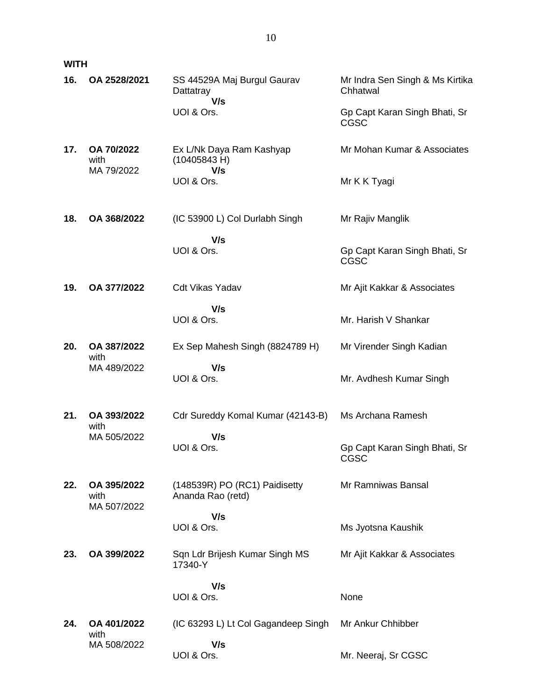## **WITH**

| 16. | OA 2528/2021                       | SS 44529A Maj Burgul Gaurav<br>Dattatray<br>V/s    | Mr Indra Sen Singh & Ms Kirtika<br>Chhatwal  |
|-----|------------------------------------|----------------------------------------------------|----------------------------------------------|
|     |                                    | UOI & Ors.                                         | Gp Capt Karan Singh Bhati, Sr<br><b>CGSC</b> |
| 17. | OA 70/2022<br>with<br>MA 79/2022   | Ex L/Nk Daya Ram Kashyap<br>(10405843 H)<br>V/s    | Mr Mohan Kumar & Associates                  |
|     |                                    | UOI & Ors.                                         | Mr K K Tyagi                                 |
| 18. | OA 368/2022                        | (IC 53900 L) Col Durlabh Singh                     | Mr Rajiv Manglik                             |
|     |                                    | V/s<br>UOI & Ors.                                  | Gp Capt Karan Singh Bhati, Sr<br>CGSC        |
| 19. | OA 377/2022                        | <b>Cdt Vikas Yadav</b>                             | Mr Ajit Kakkar & Associates                  |
|     |                                    | V/s<br>UOI & Ors.                                  | Mr. Harish V Shankar                         |
| 20. | OA 387/2022<br>with                | Ex Sep Mahesh Singh (8824789 H)                    | Mr Virender Singh Kadian                     |
|     | MA 489/2022                        | V/s<br>UOI & Ors.                                  | Mr. Avdhesh Kumar Singh                      |
| 21. | OA 393/2022<br>with                | Cdr Sureddy Komal Kumar (42143-B)                  | Ms Archana Ramesh                            |
|     | MA 505/2022                        | V/s<br>UOI & Ors.                                  | Gp Capt Karan Singh Bhati, Sr<br><b>CGSC</b> |
| 22. | OA 395/2022<br>with<br>MA 507/2022 | (148539R) PO (RC1) Paidisetty<br>Ananda Rao (retd) | Mr Ramniwas Bansal                           |
|     |                                    | V/s<br>UOI & Ors.                                  | Ms Jyotsna Kaushik                           |
| 23. | OA 399/2022                        | Sqn Ldr Brijesh Kumar Singh MS<br>17340-Y          | Mr Ajit Kakkar & Associates                  |
|     |                                    | V/s<br>UOI & Ors.                                  | None                                         |
| 24. | OA 401/2022<br>with                | (IC 63293 L) Lt Col Gagandeep Singh                | Mr Ankur Chhibber                            |
|     | MA 508/2022                        | V/s<br>UOI & Ors.                                  | Mr. Neeraj, Sr CGSC                          |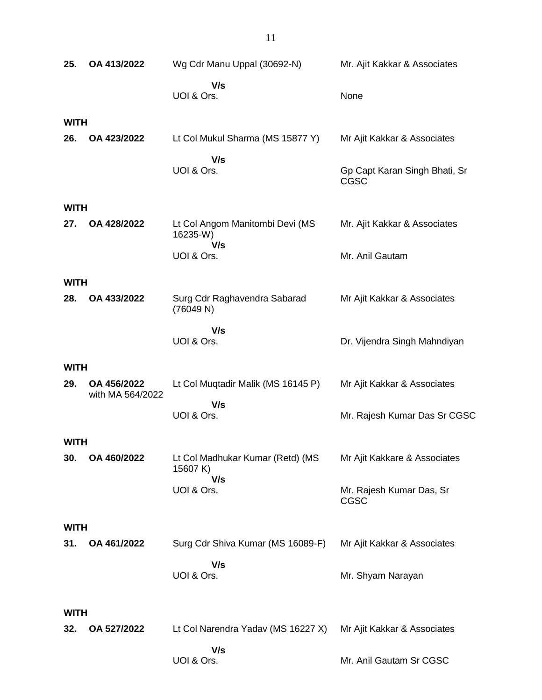| 25.                | OA 413/2022      | Wg Cdr Manu Uppal (30692-N)                        | Mr. Ajit Kakkar & Associates          |  |  |
|--------------------|------------------|----------------------------------------------------|---------------------------------------|--|--|
|                    |                  | V/s<br>UOI & Ors.                                  | None                                  |  |  |
| <b>WITH</b>        |                  |                                                    |                                       |  |  |
| 26.                | OA 423/2022      | Lt Col Mukul Sharma (MS 15877 Y)                   | Mr Ajit Kakkar & Associates           |  |  |
|                    |                  | V/s<br>UOI & Ors.                                  | Gp Capt Karan Singh Bhati, Sr<br>CGSC |  |  |
| <b>WITH</b>        |                  |                                                    |                                       |  |  |
| 27.                | OA 428/2022      | Lt Col Angom Manitombi Devi (MS<br>16235-W)<br>V/s | Mr. Ajit Kakkar & Associates          |  |  |
|                    |                  | UOI & Ors.                                         | Mr. Anil Gautam                       |  |  |
| <b>WITH</b>        |                  |                                                    |                                       |  |  |
| 28.                | OA 433/2022      | Surg Cdr Raghavendra Sabarad<br>(76049 N)          | Mr Ajit Kakkar & Associates           |  |  |
|                    |                  | V/s<br>UOI & Ors.                                  | Dr. Vijendra Singh Mahndiyan          |  |  |
| <b>WITH</b>        |                  |                                                    |                                       |  |  |
| 29.                | OA 456/2022      | Lt Col Muqtadir Malik (MS 16145 P)                 | Mr Ajit Kakkar & Associates           |  |  |
|                    | with MA 564/2022 | V/s<br>UOI & Ors.                                  | Mr. Rajesh Kumar Das Sr CGSC          |  |  |
| <b>WITH</b>        |                  |                                                    |                                       |  |  |
| 30.                | OA 460/2022      | Lt Col Madhukar Kumar (Retd) (MS<br>15607 K)       | Mr Ajit Kakkare & Associates          |  |  |
|                    |                  | V/s<br>UOI & Ors.                                  | Mr. Rajesh Kumar Das, Sr<br>CGSC      |  |  |
| <b>WITH</b>        |                  |                                                    |                                       |  |  |
| 31.                | OA 461/2022      | Surg Cdr Shiva Kumar (MS 16089-F)                  | Mr Ajit Kakkar & Associates           |  |  |
|                    |                  | V/s<br>UOI & Ors.                                  | Mr. Shyam Narayan                     |  |  |
|                    |                  |                                                    |                                       |  |  |
| <b>WITH</b><br>32. | OA 527/2022      | Lt Col Narendra Yadav (MS 16227 X)                 | Mr Ajit Kakkar & Associates           |  |  |
|                    |                  | V/s<br>UOI & Ors.                                  | Mr. Anil Gautam Sr CGSC               |  |  |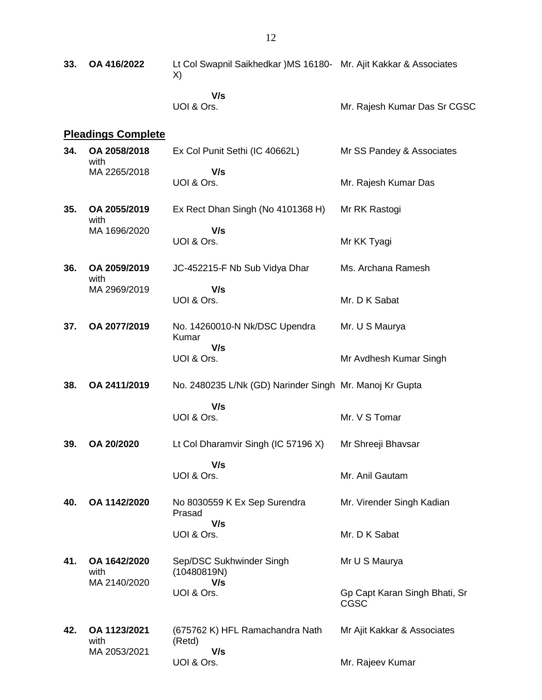| 33. | OA 416/2022                          | Lt Col Swapnil Saikhedkar )MS 16180- Mr. Ajit Kakkar & Associates<br>X) |                                              |
|-----|--------------------------------------|-------------------------------------------------------------------------|----------------------------------------------|
|     |                                      | V/s<br>UOI & Ors.                                                       | Mr. Rajesh Kumar Das Sr CGSC                 |
|     | <b>Pleadings Complete</b>            |                                                                         |                                              |
| 34. | OA 2058/2018<br>with                 | Ex Col Punit Sethi (IC 40662L)                                          | Mr SS Pandey & Associates                    |
|     | MA 2265/2018                         | V/s<br>UOI & Ors.                                                       | Mr. Rajesh Kumar Das                         |
| 35. | OA 2055/2019<br>with                 | Ex Rect Dhan Singh (No 4101368 H)                                       | Mr RK Rastogi                                |
|     | MA 1696/2020                         | V/s<br>UOI & Ors.                                                       | Mr KK Tyagi                                  |
| 36. | OA 2059/2019<br>with                 | JC-452215-F Nb Sub Vidya Dhar                                           | Ms. Archana Ramesh                           |
|     | MA 2969/2019                         | V/s<br>UOI & Ors.                                                       | Mr. D K Sabat                                |
| 37. | OA 2077/2019                         | No. 14260010-N Nk/DSC Upendra<br>Kumar<br>V/s                           | Mr. U S Maurya                               |
|     |                                      | UOI & Ors.                                                              | Mr Avdhesh Kumar Singh                       |
| 38. | OA 2411/2019                         | No. 2480235 L/Nk (GD) Narinder Singh Mr. Manoj Kr Gupta                 |                                              |
|     |                                      | V/s                                                                     |                                              |
|     |                                      | UOI & Ors.                                                              | Mr. V S Tomar                                |
| 39. | OA 20/2020                           | Lt Col Dharamvir Singh (IC 57196 X)                                     | Mr Shreeji Bhavsar                           |
|     |                                      | V/s<br>UOI & Ors.                                                       | Mr. Anil Gautam                              |
| 40. | OA 1142/2020                         | No 8030559 K Ex Sep Surendra<br>Prasad<br>V/s                           | Mr. Virender Singh Kadian                    |
|     |                                      | UOI & Ors.                                                              | Mr. D K Sabat                                |
| 41. | OA 1642/2020<br>with<br>MA 2140/2020 | Sep/DSC Sukhwinder Singh<br>(10480819N)<br>V/s                          | Mr U S Maurya                                |
|     |                                      | UOI & Ors.                                                              | Gp Capt Karan Singh Bhati, Sr<br><b>CGSC</b> |
| 42. | OA 1123/2021<br>with                 | (675762 K) HFL Ramachandra Nath<br>(Retd)                               | Mr Ajit Kakkar & Associates                  |
|     | MA 2053/2021                         | V/s<br>UOI & Ors.                                                       | Mr. Rajeev Kumar                             |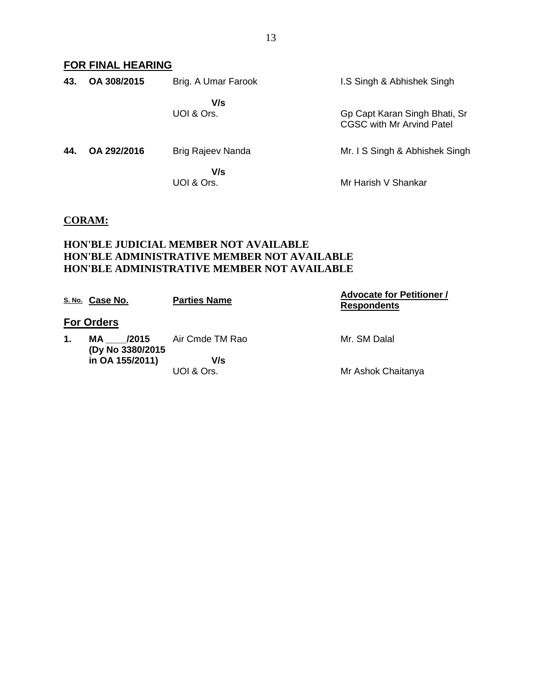# **FOR FINAL HEARING**

| 43. | OA 308/2015 | Brig. A Umar Farook      | I.S Singh & Abhishek Singh                                        |
|-----|-------------|--------------------------|-------------------------------------------------------------------|
|     |             | V/s<br>UOI & Ors.        | Gp Capt Karan Singh Bhati, Sr<br><b>CGSC with Mr Arvind Patel</b> |
| 44. | OA 292/2016 | <b>Brig Rajeev Nanda</b> | Mr. I S Singh & Abhishek Singh                                    |
|     |             | V/s                      |                                                                   |

UOI & Ors.

Mr Harish V Shankar

## **CORAM:**

### **HON'BLE JUDICIAL MEMBER NOT AVAILABLE HON'BLE ADMINISTRATIVE MEMBER NOT AVAILABLE HON'BLE ADMINISTRATIVE MEMBER NOT AVAILABLE**

|    | S. No. Case No.                   | <b>Parties Name</b> | <b>Advocate for Petitioner /</b><br><b>Respondents</b> |
|----|-----------------------------------|---------------------|--------------------------------------------------------|
|    | <b>For Orders</b>                 |                     |                                                        |
| 1. | /2015<br>MA.<br>(Dy No 3380/2015) | Air Cmde TM Rao     | Mr. SM Dalal                                           |
|    | in OA 155/2011)                   | V/s<br>UOI & Ors.   | Mr Ashok Chaitanya                                     |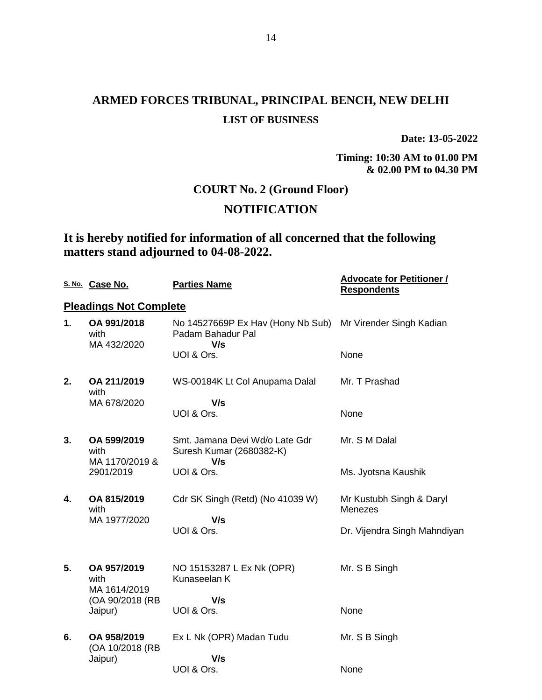**Date: 13-05-2022**

**Timing: 10:30 AM to 01.00 PM & 02.00 PM to 04.30 PM**

## **COURT No. 2 (Ground Floor)**

# **NOTIFICATION**

# **It is hereby notified for information of all concerned that the following matters stand adjourned to 04-08-2022.**

|    | S. No. Case No.                       | <b>Parties Name</b>                                               | <b>Advocate for Petitioner /</b><br><b>Respondents</b> |
|----|---------------------------------------|-------------------------------------------------------------------|--------------------------------------------------------|
|    | <b>Pleadings Not Complete</b>         |                                                                   |                                                        |
| 1. | OA 991/2018<br>with<br>MA 432/2020    | No 14527669P Ex Hav (Hony Nb Sub)<br>Padam Bahadur Pal<br>V/s     | Mr Virender Singh Kadian                               |
|    |                                       | UOI & Ors.                                                        | None                                                   |
| 2. | OA 211/2019<br>with                   | WS-00184K Lt Col Anupama Dalal                                    | Mr. T Prashad                                          |
|    | MA 678/2020                           | V/s<br>UOI & Ors.                                                 | None                                                   |
| 3. | OA 599/2019<br>with<br>MA 1170/2019 & | Smt. Jamana Devi Wd/o Late Gdr<br>Suresh Kumar (2680382-K)<br>V/s | Mr. S M Dalal                                          |
|    | 2901/2019                             | UOI & Ors.                                                        | Ms. Jyotsna Kaushik                                    |
| 4. | OA 815/2019<br>with<br>MA 1977/2020   | Cdr SK Singh (Retd) (No 41039 W)<br>V/s                           | Mr Kustubh Singh & Daryl<br>Menezes                    |
|    |                                       | UOI & Ors.                                                        | Dr. Vijendra Singh Mahndiyan                           |
| 5. | OA 957/2019<br>with<br>MA 1614/2019   | NO 15153287 L Ex Nk (OPR)<br>Kunaseelan K                         | Mr. S B Singh                                          |
|    | (OA 90/2018 (RB<br>Jaipur)            | V/s<br>UOI & Ors.                                                 | None                                                   |
| 6. | OA 958/2019<br>(OA 10/2018 (RB        | Ex L Nk (OPR) Madan Tudu                                          | Mr. S B Singh                                          |
|    | Jaipur)                               | V/s<br>UOI & Ors.                                                 | None                                                   |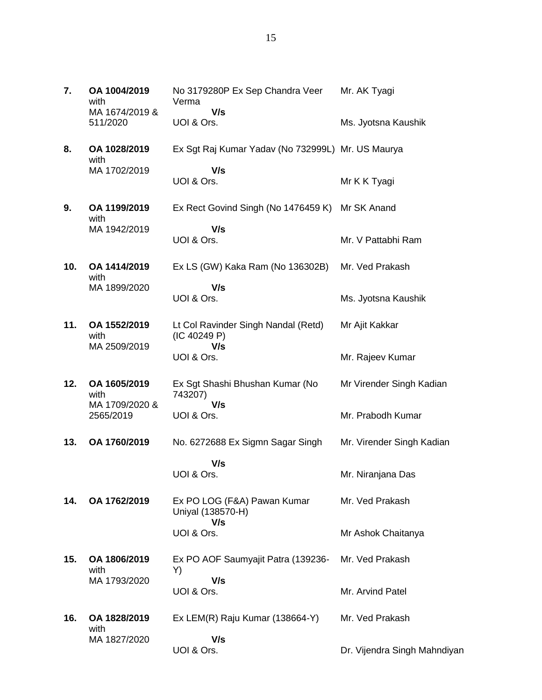- **7. OA 1004/2019** with MA 1674/2019 & 511/2020 No 3179280P Ex Sep Chandra Veer Verma  **V/s** UOI & Ors. Mr. AK Tyagi Ms. Jyotsna Kaushik **8. OA 1028/2019** with MA 1702/2019 Ex Sgt Raj Kumar Yadav (No 732999L) Mr. US Maurya  **V/s** UOI & Ors. Mr K K Tyagi **9. OA 1199/2019** with MA 1942/2019 Ex Rect Govind Singh (No 1476459 K) Mr SK Anand  **V/s** UOI & Ors. Mr. V Pattabhi Ram **10. OA 1414/2019** with MA 1899/2020 Ex LS (GW) Kaka Ram (No 136302B)  **V/s** UOI & Ors. Mr. Ved Prakash Ms. Jyotsna Kaushik **11. OA 1552/2019** with MA 2509/2019 Lt Col Ravinder Singh Nandal (Retd) (IC 40249 P)  **V/s** UOI & Ors. Mr Ajit Kakkar Mr. Rajeev Kumar **12. OA 1605/2019** with MA 1709/2020 & 2565/2019 Ex Sgt Shashi Bhushan Kumar (No 743207)  **V/s** UOI & Ors. Mr Virender Singh Kadian Mr. Prabodh Kumar **13. OA 1760/2019** No. 6272688 Ex Sigmn Sagar Singh  **V/s** UOI & Ors. Mr. Virender Singh Kadian Mr. Niranjana Das **14. OA 1762/2019** Ex PO LOG (F&A) Pawan Kumar Uniyal (138570-H)  **V/s** UOI & Ors. Mr. Ved Prakash Mr Ashok Chaitanya **15. OA 1806/2019** with MA 1793/2020 Ex PO AOF Saumyajit Patra (139236- Y)  **V/s** UOI & Ors. Mr. Ved Prakash Mr. Arvind Patel **16. OA 1828/2019** with Ex LEM(R) Raju Kumar (138664-Y) Mr. Ved Prakash
	- **V/s** UOI & Ors.

MA 1827/2020

Dr. Vijendra Singh Mahndiyan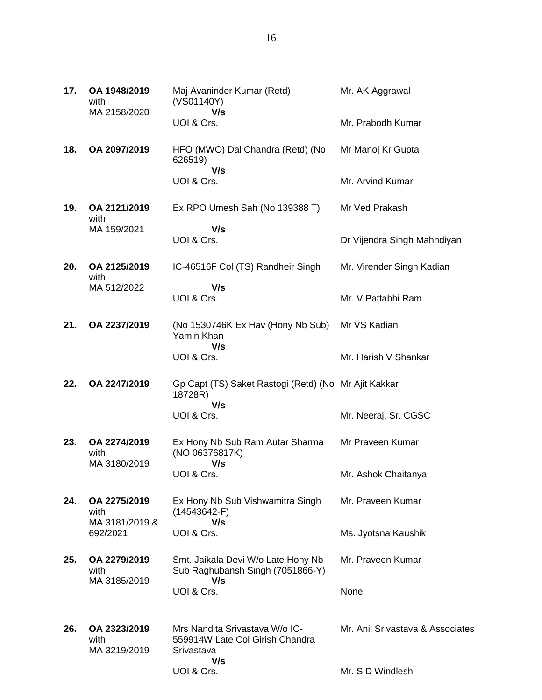| 17. | OA 1948/2019<br>with                 | Maj Avaninder Kumar (Retd)<br>(VS01140Y)                                               | Mr. AK Aggrawal                  |
|-----|--------------------------------------|----------------------------------------------------------------------------------------|----------------------------------|
|     | MA 2158/2020                         | V/s<br>UOI & Ors.                                                                      | Mr. Prabodh Kumar                |
| 18. | OA 2097/2019                         | HFO (MWO) Dal Chandra (Retd) (No<br>626519)                                            | Mr Manoj Kr Gupta                |
|     |                                      | V/s<br>UOI & Ors.                                                                      | Mr. Arvind Kumar                 |
| 19. | OA 2121/2019<br>with                 | Ex RPO Umesh Sah (No 139388 T)                                                         | Mr Ved Prakash                   |
|     | MA 159/2021                          | V/s                                                                                    |                                  |
|     |                                      | UOI & Ors.                                                                             | Dr Vijendra Singh Mahndiyan      |
| 20. | OA 2125/2019<br>with                 | IC-46516F Col (TS) Randheir Singh                                                      | Mr. Virender Singh Kadian        |
|     | MA 512/2022                          | V/s                                                                                    |                                  |
|     |                                      | UOI & Ors.                                                                             | Mr. V Pattabhi Ram               |
| 21. | OA 2237/2019                         | (No 1530746K Ex Hav (Hony Nb Sub)<br>Yamin Khan<br>V/s                                 | Mr VS Kadian                     |
|     |                                      | UOI & Ors.                                                                             | Mr. Harish V Shankar             |
| 22. | OA 2247/2019                         | Gp Capt (TS) Saket Rastogi (Retd) (No Mr Ajit Kakkar<br>18728R)<br>V/s                 |                                  |
|     |                                      | UOI & Ors.                                                                             | Mr. Neeraj, Sr. CGSC             |
| 23. | OA 2274/2019<br>with                 | Ex Hony Nb Sub Ram Autar Sharma<br>(NO 06376817K)                                      | Mr Praveen Kumar                 |
|     | MA 3180/2019                         | V/s<br>UOI & Ors.                                                                      | Mr. Ashok Chaitanya              |
| 24. | OA 2275/2019<br>with                 | Ex Hony Nb Sub Vishwamitra Singh<br>$(14543642-F)$                                     | Mr. Praveen Kumar                |
|     | MA 3181/2019 &<br>692/2021           | V/s<br>UOI & Ors.                                                                      | Ms. Jyotsna Kaushik              |
| 25. | OA 2279/2019<br>with                 | Smt. Jaikala Devi W/o Late Hony Nb<br>Sub Raghubansh Singh (7051866-Y)                 | Mr. Praveen Kumar                |
|     | MA 3185/2019                         | V/s<br>UOI & Ors.                                                                      | None                             |
| 26. | OA 2323/2019<br>with<br>MA 3219/2019 | Mrs Nandita Srivastava W/o IC-<br>559914W Late Col Girish Chandra<br>Srivastava<br>V/s | Mr. Anil Srivastava & Associates |

Mr. S D Windlesh

UOI & Ors.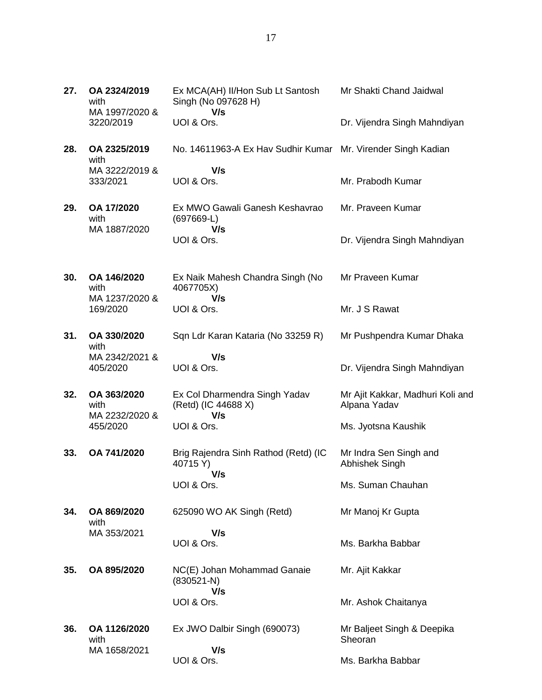| 27. | OA 2324/2019<br>with<br>MA 1997/2020 & | Ex MCA(AH) II/Hon Sub Lt Santosh<br>Singh (No 097628 H)<br>V/s | Mr Shakti Chand Jaidwal                          |
|-----|----------------------------------------|----------------------------------------------------------------|--------------------------------------------------|
|     | 3220/2019                              | UOI & Ors.                                                     | Dr. Vijendra Singh Mahndiyan                     |
| 28. | OA 2325/2019<br>with                   | No. 14611963-A Ex Hav Sudhir Kumar Mr. Virender Singh Kadian   |                                                  |
|     | MA 3222/2019 &<br>333/2021             | V/s<br>UOI & Ors.                                              | Mr. Prabodh Kumar                                |
| 29. | OA 17/2020<br>with<br>MA 1887/2020     | Ex MWO Gawali Ganesh Keshavrao<br>$(697669-L)$                 | Mr. Praveen Kumar                                |
|     |                                        | V/s<br>UOI & Ors.                                              | Dr. Vijendra Singh Mahndiyan                     |
| 30. | OA 146/2020<br>with<br>MA 1237/2020 &  | Ex Naik Mahesh Chandra Singh (No<br>4067705X)<br>V/s           | Mr Praveen Kumar                                 |
|     | 169/2020                               | UOI & Ors.                                                     | Mr. J S Rawat                                    |
| 31. | OA 330/2020<br>with                    | Sqn Ldr Karan Kataria (No 33259 R)                             | Mr Pushpendra Kumar Dhaka                        |
|     | MA 2342/2021 &<br>405/2020             | V/s<br>UOI & Ors.                                              | Dr. Vijendra Singh Mahndiyan                     |
| 32. | OA 363/2020<br>with<br>MA 2232/2020 &  | Ex Col Dharmendra Singh Yadav<br>(Retd) (IC 44688 X)<br>V/s    | Mr Ajit Kakkar, Madhuri Koli and<br>Alpana Yadav |
|     | 455/2020                               | UOI & Ors.                                                     | Ms. Jyotsna Kaushik                              |
| 33. | OA 741/2020                            | Brig Rajendra Sinh Rathod (Retd) (IC<br>40715 Y)<br>V/s        | Mr Indra Sen Singh and<br>Abhishek Singh         |
|     |                                        | UOI & Ors.                                                     | Ms. Suman Chauhan                                |
| 34. | OA 869/2020<br>with                    | 625090 WO AK Singh (Retd)                                      | Mr Manoj Kr Gupta                                |
|     | MA 353/2021                            | V/s<br>UOI & Ors.                                              | Ms. Barkha Babbar                                |
| 35. | OA 895/2020                            | NC(E) Johan Mohammad Ganaie<br>$(830521-N)$<br>V/s             | Mr. Ajit Kakkar                                  |
|     |                                        | UOI & Ors.                                                     | Mr. Ashok Chaitanya                              |
| 36. | OA 1126/2020<br>with                   | Ex JWO Dalbir Singh (690073)                                   | Mr Baljeet Singh & Deepika<br>Sheoran            |
|     | MA 1658/2021                           | V/s<br>UOI & Ors.                                              | Ms. Barkha Babbar                                |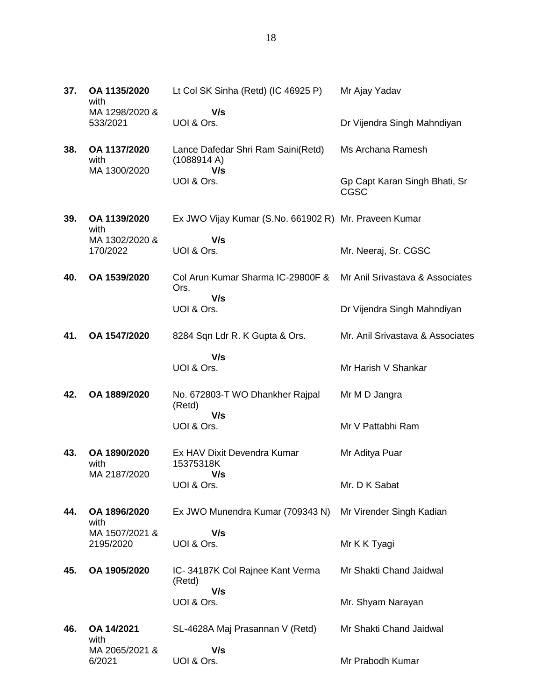| 37. | OA 1135/2020<br>with                 | Lt Col SK Sinha (Retd) (IC 46925 P)                      | Mr Ajay Yadav                                |
|-----|--------------------------------------|----------------------------------------------------------|----------------------------------------------|
|     | MA 1298/2020 &<br>533/2021           | V/s<br>UOI & Ors.                                        | Dr Vijendra Singh Mahndiyan                  |
| 38. | OA 1137/2020<br>with<br>MA 1300/2020 | Lance Dafedar Shri Ram Saini(Retd)<br>(1088914 A)<br>V/s | Ms Archana Ramesh                            |
|     |                                      | UOI & Ors.                                               | Gp Capt Karan Singh Bhati, Sr<br><b>CGSC</b> |
| 39. | OA 1139/2020                         | Ex JWO Vijay Kumar (S.No. 661902 R) Mr. Praveen Kumar    |                                              |
|     | with<br>MA 1302/2020 &<br>170/2022   | V/s<br>UOI & Ors.                                        | Mr. Neeraj, Sr. CGSC                         |
| 40. | OA 1539/2020                         | Col Arun Kumar Sharma IC-29800F &<br>Ors.<br>V/s         | Mr Anil Srivastava & Associates              |
|     |                                      | UOI & Ors.                                               | Dr Vijendra Singh Mahndiyan                  |
| 41. | OA 1547/2020                         | 8284 Sqn Ldr R. K Gupta & Ors.                           | Mr. Anil Srivastava & Associates             |
|     |                                      | V/s<br>UOI & Ors.                                        | Mr Harish V Shankar                          |
| 42. | OA 1889/2020                         | No. 672803-T WO Dhankher Rajpal<br>(Retd)                | Mr M D Jangra                                |
|     |                                      | V/s<br>UOI & Ors.                                        | Mr V Pattabhi Ram                            |
| 43. | OA 1890/2020<br>with                 | Ex HAV Dixit Devendra Kumar<br>15375318K                 | Mr Aditya Puar                               |
|     | MA 2187/2020                         | V/s<br>UOI & Ors.                                        | Mr. D K Sabat                                |
| 44. | OA 1896/2020<br>with                 | Ex JWO Munendra Kumar (709343 N)                         | Mr Virender Singh Kadian                     |
|     | MA 1507/2021 &<br>2195/2020          | V/s<br>UOI & Ors.                                        | Mr K K Tyagi                                 |
| 45. | OA 1905/2020                         | IC-34187K Col Rajnee Kant Verma<br>(Retd)                | Mr Shakti Chand Jaidwal                      |
|     |                                      | V/s<br>UOI & Ors.                                        | Mr. Shyam Narayan                            |
| 46. | OA 14/2021<br>with                   | SL-4628A Maj Prasannan V (Retd)                          | Mr Shakti Chand Jaidwal                      |
|     | MA 2065/2021 &<br>6/2021             | V/s<br>UOI & Ors.                                        | Mr Prabodh Kumar                             |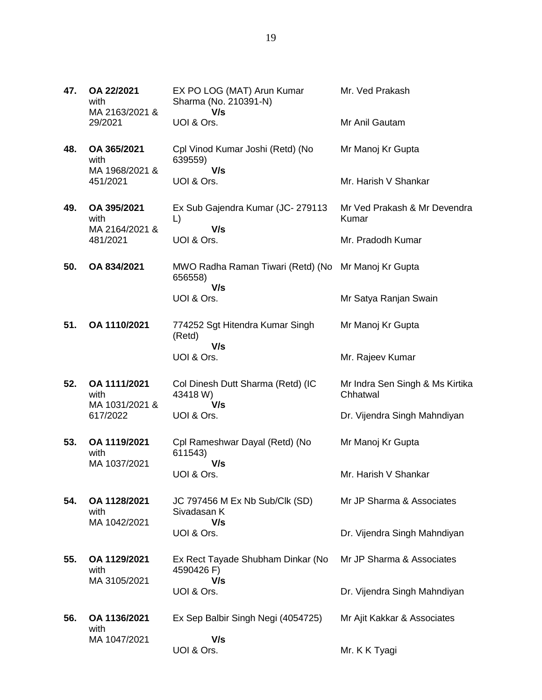| 47. | OA 22/2021<br>with<br>MA 2163/2021 &   | EX PO LOG (MAT) Arun Kumar<br>Sharma (No. 210391-N)<br>V/s            | Mr. Ved Prakash                             |
|-----|----------------------------------------|-----------------------------------------------------------------------|---------------------------------------------|
|     | 29/2021                                | UOI & Ors.                                                            | Mr Anil Gautam                              |
| 48. | OA 365/2021<br>with<br>MA 1968/2021 &  | Cpl Vinod Kumar Joshi (Retd) (No<br>639559)<br>V/s                    | Mr Manoj Kr Gupta                           |
|     | 451/2021                               | UOI & Ors.                                                            | Mr. Harish V Shankar                        |
| 49. | OA 395/2021<br>with<br>MA 2164/2021 &  | Ex Sub Gajendra Kumar (JC-279113<br>L)<br>V/s                         | Mr Ved Prakash & Mr Devendra<br>Kumar       |
|     | 481/2021                               | UOI & Ors.                                                            | Mr. Pradodh Kumar                           |
| 50. | OA 834/2021                            | MWO Radha Raman Tiwari (Retd) (No Mr Manoj Kr Gupta<br>656558)<br>V/s |                                             |
|     |                                        | UOI & Ors.                                                            | Mr Satya Ranjan Swain                       |
| 51. | OA 1110/2021                           | 774252 Sgt Hitendra Kumar Singh<br>(Retd)                             | Mr Manoj Kr Gupta                           |
|     |                                        | V/s<br>UOI & Ors.                                                     | Mr. Rajeev Kumar                            |
| 52. | OA 1111/2021<br>with<br>MA 1031/2021 & | Col Dinesh Dutt Sharma (Retd) (IC<br>43418 W)<br>V/s                  | Mr Indra Sen Singh & Ms Kirtika<br>Chhatwal |
|     | 617/2022                               | UOI & Ors.                                                            | Dr. Vijendra Singh Mahndiyan                |
| 53. | OA 1119/2021<br>with<br>MA 1037/2021   | Cpl Rameshwar Dayal (Retd) (No<br>611543)<br>V/s                      | Mr Manoj Kr Gupta                           |
|     |                                        | UOI & Ors.                                                            | Mr. Harish V Shankar                        |
| 54. | OA 1128/2021<br>with<br>MA 1042/2021   | JC 797456 M Ex Nb Sub/Clk (SD)<br>Sivadasan K<br>V/s                  | Mr JP Sharma & Associates                   |
|     |                                        | UOI & Ors.                                                            | Dr. Vijendra Singh Mahndiyan                |
| 55. | OA 1129/2021<br>with<br>MA 3105/2021   | Ex Rect Tayade Shubham Dinkar (No<br>4590426 F)<br>V/s                | Mr JP Sharma & Associates                   |
|     |                                        | UOI & Ors.                                                            | Dr. Vijendra Singh Mahndiyan                |
| 56. | OA 1136/2021<br>with                   | Ex Sep Balbir Singh Negi (4054725)                                    | Mr Ajit Kakkar & Associates                 |
|     | MA 1047/2021                           | V/s<br>UOI & Ors.                                                     | Mr. K K Tyagi                               |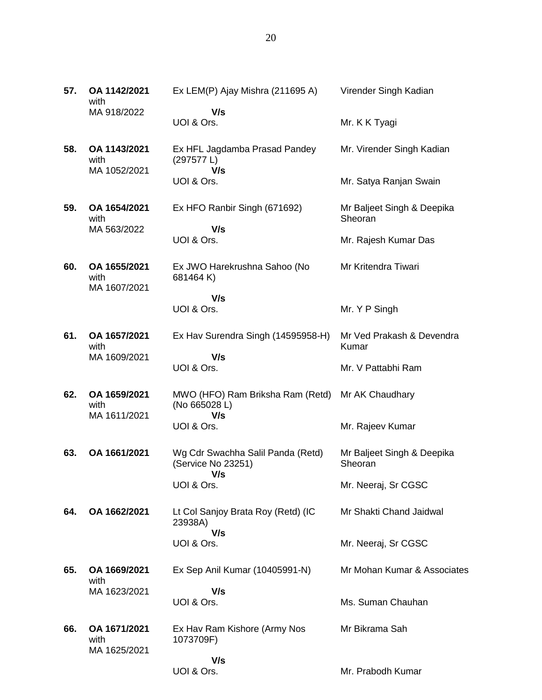| 57. | OA 1142/2021<br>with                 | Ex LEM(P) Ajay Mishra (211695 A)                               | Virender Singh Kadian                 |
|-----|--------------------------------------|----------------------------------------------------------------|---------------------------------------|
|     | MA 918/2022                          | V/s<br>UOI & Ors.                                              | Mr. K K Tyagi                         |
| 58. | OA 1143/2021<br>with<br>MA 1052/2021 | Ex HFL Jagdamba Prasad Pandey<br>(297577 L)<br>V/s             | Mr. Virender Singh Kadian             |
|     |                                      | UOI & Ors.                                                     | Mr. Satya Ranjan Swain                |
| 59. | OA 1654/2021<br>with                 | Ex HFO Ranbir Singh (671692)                                   | Mr Baljeet Singh & Deepika<br>Sheoran |
|     | MA 563/2022                          | V/s<br>UOI & Ors.                                              | Mr. Rajesh Kumar Das                  |
| 60. | OA 1655/2021<br>with<br>MA 1607/2021 | Ex JWO Harekrushna Sahoo (No<br>681464 K)                      | Mr Kritendra Tiwari                   |
|     |                                      | V/s<br>UOI & Ors.                                              | Mr. Y P Singh                         |
| 61. | OA 1657/2021<br>with                 | Ex Hav Surendra Singh (14595958-H)                             | Mr Ved Prakash & Devendra<br>Kumar    |
|     | MA 1609/2021                         | V/s<br>UOI & Ors.                                              | Mr. V Pattabhi Ram                    |
| 62. | OA 1659/2021<br>with<br>MA 1611/2021 | MWO (HFO) Ram Briksha Ram (Retd)<br>(No 665028 L)<br>V/s       | Mr AK Chaudhary                       |
|     |                                      | UOI & Ors.                                                     | Mr. Rajeev Kumar                      |
| 63. | OA 1661/2021                         | Wg Cdr Swachha Salil Panda (Retd)<br>(Service No 23251)<br>V/s | Mr Baljeet Singh & Deepika<br>Sheoran |
|     |                                      | UOI & Ors.                                                     | Mr. Neeraj, Sr CGSC                   |
| 64. | OA 1662/2021                         | Lt Col Sanjoy Brata Roy (Retd) (IC<br>23938A)                  | Mr Shakti Chand Jaidwal               |
|     |                                      | V/s<br>UOI & Ors.                                              | Mr. Neeraj, Sr CGSC                   |
| 65. | OA 1669/2021<br>with                 | Ex Sep Anil Kumar (10405991-N)                                 | Mr Mohan Kumar & Associates           |
|     | MA 1623/2021                         | V/s<br>UOI & Ors.                                              | Ms. Suman Chauhan                     |
| 66. | OA 1671/2021<br>with<br>MA 1625/2021 | Ex Hav Ram Kishore (Army Nos<br>1073709F)                      | Mr Bikrama Sah                        |
|     |                                      | V/s                                                            |                                       |

UOI & Ors.

Mr. Prabodh Kumar

20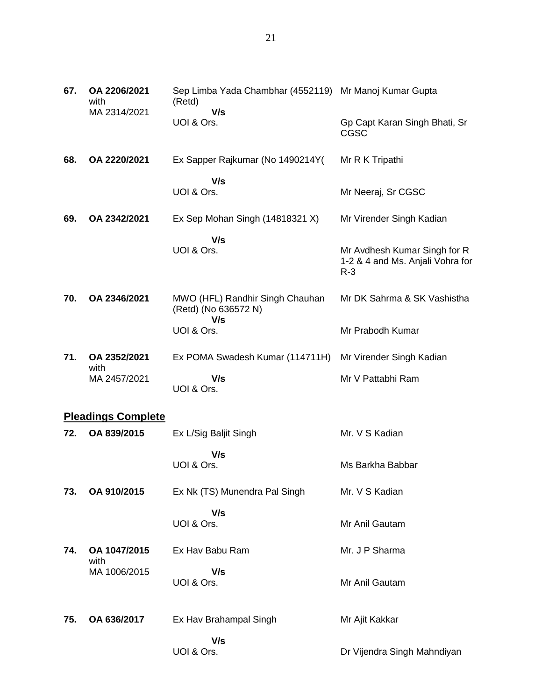| 67. | OA 2206/2021<br>with<br>MA 2314/2021 | Sep Limba Yada Chambhar (4552119) Mr Manoj Kumar Gupta<br>(Retd)<br>V/s |                                                                           |
|-----|--------------------------------------|-------------------------------------------------------------------------|---------------------------------------------------------------------------|
|     |                                      | UOI & Ors.                                                              | Gp Capt Karan Singh Bhati, Sr<br><b>CGSC</b>                              |
| 68. | OA 2220/2021                         | Ex Sapper Rajkumar (No 1490214Y)                                        | Mr R K Tripathi                                                           |
|     |                                      | V/s<br>UOI & Ors.                                                       | Mr Neeraj, Sr CGSC                                                        |
| 69. | OA 2342/2021                         | Ex Sep Mohan Singh (14818321 X)                                         | Mr Virender Singh Kadian                                                  |
|     |                                      | V/s<br>UOI & Ors.                                                       | Mr Avdhesh Kumar Singh for R<br>1-2 & 4 and Ms. Anjali Vohra for<br>$R-3$ |
| 70. | OA 2346/2021                         | MWO (HFL) Randhir Singh Chauhan<br>(Retd) (No 636572 N)<br>V/s          | Mr DK Sahrma & SK Vashistha                                               |
|     |                                      | UOI & Ors.                                                              | Mr Prabodh Kumar                                                          |
| 71. | OA 2352/2021<br>with                 | Ex POMA Swadesh Kumar (114711H)                                         | Mr Virender Singh Kadian                                                  |
|     | MA 2457/2021                         | V/s<br>UOI & Ors.                                                       | Mr V Pattabhi Ram                                                         |
|     | <b>Pleadings Complete</b>            |                                                                         |                                                                           |

#### **72. OA 839/2015** Ex L/Sig Baljit Singh  **V/s** UOI & Ors. Mr. V S Kadian Ms Barkha Babbar **73. OA 910/2015** Ex Nk (TS) Munendra Pal Singh  **V/s** UOI & Ors. Mr. V S Kadian Mr Anil Gautam **74. OA 1047/2015** with MA 1006/2015 Ex Hav Babu Ram  **V/s** UOI & Ors. Mr. J P Sharma Mr Anil Gautam **75. OA 636/2017** Ex Hav Brahampal Singh  **V/s** Mr Ajit Kakkar

Dr Vijendra Singh Mahndiyan

21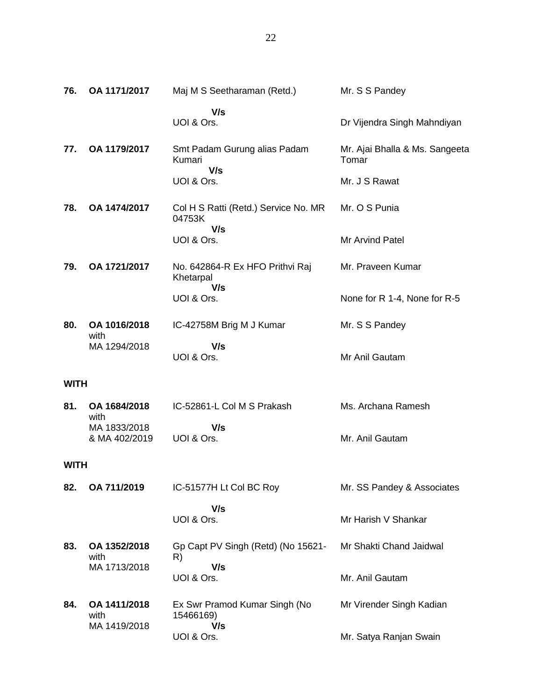| 76.         | OA 1171/2017                         | Maj M S Seetharaman (Retd.)                         | Mr. S S Pandey                          |
|-------------|--------------------------------------|-----------------------------------------------------|-----------------------------------------|
|             |                                      | V/s<br>UOI & Ors.                                   | Dr Vijendra Singh Mahndiyan             |
| 77.         | OA 1179/2017                         | Smt Padam Gurung alias Padam<br>Kumari<br>V/s       | Mr. Ajai Bhalla & Ms. Sangeeta<br>Tomar |
|             |                                      | UOI & Ors.                                          | Mr. J S Rawat                           |
| 78.         | OA 1474/2017                         | Col H S Ratti (Retd.) Service No. MR<br>04753K      | Mr. O S Punia                           |
|             |                                      | V/s<br>UOI & Ors.                                   | Mr Arvind Patel                         |
| 79.         | OA 1721/2017                         | No. 642864-R Ex HFO Prithvi Raj<br>Khetarpal<br>V/s | Mr. Praveen Kumar                       |
|             |                                      | UOI & Ors.                                          | None for R 1-4, None for R-5            |
| 80.         | OA 1016/2018<br>with                 | IC-42758M Brig M J Kumar                            | Mr. S S Pandey                          |
|             | MA 1294/2018                         | V/s<br>UOI & Ors.                                   | Mr Anil Gautam                          |
| <b>WITH</b> |                                      |                                                     |                                         |
| 81.         | OA 1684/2018<br>with                 | IC-52861-L Col M S Prakash                          | Ms. Archana Ramesh                      |
|             | MA 1833/2018<br>& MA 402/2019        | V/s<br>UOI & Ors.                                   | Mr. Anil Gautam                         |
| <b>WITH</b> |                                      |                                                     |                                         |
| 82.         | OA 711/2019                          | IC-51577H Lt Col BC Roy                             | Mr. SS Pandey & Associates              |
|             |                                      | V/s<br>UOI & Ors.                                   | Mr Harish V Shankar                     |
| 83.         | OA 1352/2018<br>with                 | Gp Capt PV Singh (Retd) (No 15621-<br>R)            | Mr Shakti Chand Jaidwal                 |
|             | MA 1713/2018                         | V/s<br>UOI & Ors.                                   | Mr. Anil Gautam                         |
| 84.         | OA 1411/2018<br>with<br>MA 1419/2018 | Ex Swr Pramod Kumar Singh (No<br>15466169)<br>V/s   | Mr Virender Singh Kadian                |
|             |                                      | UOI & Ors.                                          | Mr. Satya Ranjan Swain                  |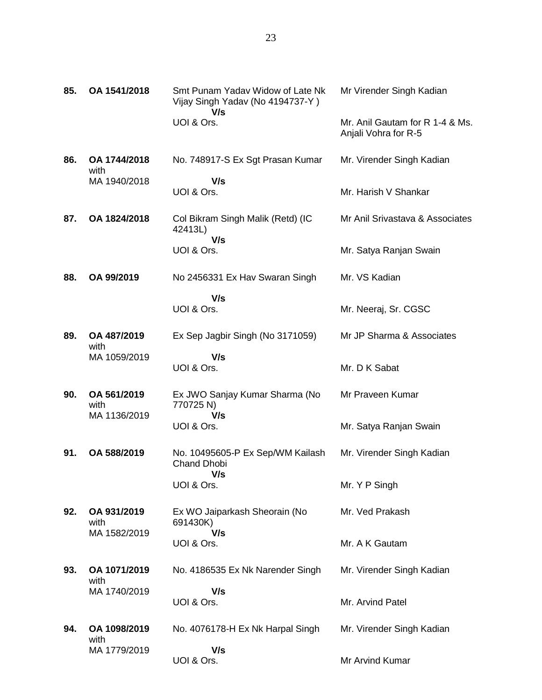| 85. | OA 1541/2018                        | Smt Punam Yadav Widow of Late Nk<br>Vijay Singh Yadav (No 4194737-Y)<br>V/s | Mr Virender Singh Kadian                                |
|-----|-------------------------------------|-----------------------------------------------------------------------------|---------------------------------------------------------|
|     |                                     | UOI & Ors.                                                                  | Mr. Anil Gautam for R 1-4 & Ms.<br>Anjali Vohra for R-5 |
| 86. | OA 1744/2018<br>with                | No. 748917-S Ex Sgt Prasan Kumar                                            | Mr. Virender Singh Kadian                               |
|     | MA 1940/2018                        | V/s<br>UOI & Ors.                                                           | Mr. Harish V Shankar                                    |
| 87. | OA 1824/2018                        | Col Bikram Singh Malik (Retd) (IC<br>42413L)<br>V/s                         | Mr Anil Srivastava & Associates                         |
|     |                                     | UOI & Ors.                                                                  | Mr. Satya Ranjan Swain                                  |
| 88. | OA 99/2019                          | No 2456331 Ex Hav Swaran Singh                                              | Mr. VS Kadian                                           |
|     |                                     | V/s<br>UOI & Ors.                                                           | Mr. Neeraj, Sr. CGSC                                    |
| 89. | OA 487/2019<br>with                 | Ex Sep Jagbir Singh (No 3171059)                                            | Mr JP Sharma & Associates                               |
|     | MA 1059/2019                        | V/s<br>UOI & Ors.                                                           | Mr. D K Sabat                                           |
| 90. | OA 561/2019<br>with<br>MA 1136/2019 | Ex JWO Sanjay Kumar Sharma (No<br>770725 N)<br>V/s                          | Mr Praveen Kumar                                        |
|     |                                     | UOI & Ors.                                                                  | Mr. Satya Ranjan Swain                                  |
| 91. | OA 588/2019                         | No. 10495605-P Ex Sep/WM Kailash<br><b>Chand Dhobi</b>                      | Mr. Virender Singh Kadian                               |
|     |                                     | V/s<br>UOI & Ors.                                                           | Mr. Y P Singh                                           |
| 92. | OA 931/2019<br>with                 | Ex WO Jaiparkash Sheorain (No<br>691430K)                                   | Mr. Ved Prakash                                         |
|     | MA 1582/2019                        | V/s<br>UOI & Ors.                                                           | Mr. A K Gautam                                          |
| 93. | OA 1071/2019<br>with                | No. 4186535 Ex Nk Narender Singh                                            | Mr. Virender Singh Kadian                               |
|     | MA 1740/2019                        | V/s<br>UOI & Ors.                                                           | Mr. Arvind Patel                                        |
| 94. | OA 1098/2019<br>with                | No. 4076178-H Ex Nk Harpal Singh                                            | Mr. Virender Singh Kadian                               |
|     | MA 1779/2019                        | V/s<br>UOI & Ors.                                                           | Mr Arvind Kumar                                         |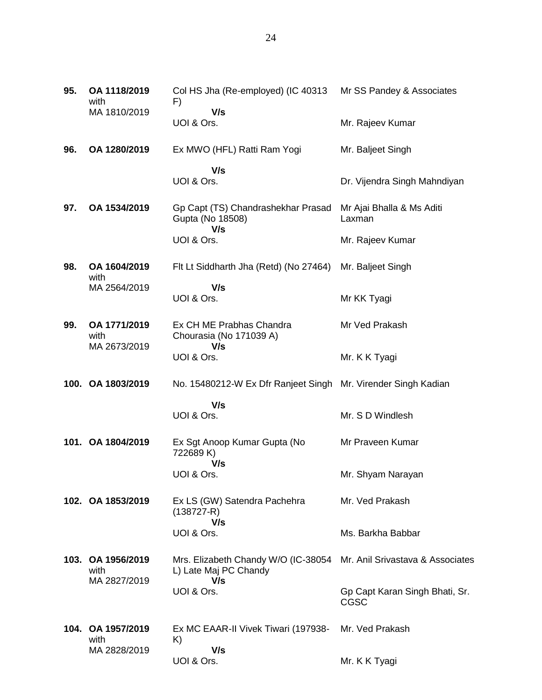| 95. | OA 1118/2019<br>with                      | Col HS Jha (Re-employed) (IC 40313<br>F)                                                             | Mr SS Pandey & Associates                     |
|-----|-------------------------------------------|------------------------------------------------------------------------------------------------------|-----------------------------------------------|
|     | MA 1810/2019                              | V/s<br>UOI & Ors.                                                                                    | Mr. Rajeev Kumar                              |
| 96. | OA 1280/2019                              | Ex MWO (HFL) Ratti Ram Yogi                                                                          | Mr. Baljeet Singh                             |
|     |                                           | V/s<br>UOI & Ors.                                                                                    | Dr. Vijendra Singh Mahndiyan                  |
| 97. | OA 1534/2019                              | Gp Capt (TS) Chandrashekhar Prasad<br>Gupta (No 18508)<br>V/s                                        | Mr Ajai Bhalla & Ms Aditi<br>Laxman           |
|     |                                           | UOI & Ors.                                                                                           | Mr. Rajeev Kumar                              |
| 98. | OA 1604/2019<br>with                      | Fit Lt Siddharth Jha (Retd) (No 27464)                                                               | Mr. Baljeet Singh                             |
|     | MA 2564/2019                              | V/s<br>UOI & Ors.                                                                                    | Mr KK Tyagi                                   |
| 99. | OA 1771/2019<br>with                      | Ex CH ME Prabhas Chandra<br>Chourasia (No 171039 A)                                                  | Mr Ved Prakash                                |
|     | MA 2673/2019                              | V/s<br>UOI & Ors.                                                                                    | Mr. K K Tyagi                                 |
|     | 100. OA 1803/2019                         | No. 15480212-W Ex Dfr Ranjeet Singh Mr. Virender Singh Kadian                                        |                                               |
|     |                                           | V/s<br>UOI & Ors.                                                                                    | Mr. S D Windlesh                              |
|     | 101. OA 1804/2019                         | Ex Sgt Anoop Kumar Gupta (No<br>722689K)                                                             | Mr Praveen Kumar                              |
|     |                                           | V/s<br>UOI & Ors.                                                                                    | Mr. Shyam Narayan                             |
|     | 102. OA 1853/2019                         | Ex LS (GW) Satendra Pachehra<br>$(138727 - R)$                                                       | Mr. Ved Prakash                               |
|     |                                           | V/s<br>UOI & Ors.                                                                                    | Ms. Barkha Babbar                             |
|     | 103. OA 1956/2019<br>with<br>MA 2827/2019 | Mrs. Elizabeth Chandy W/O (IC-38054 Mr. Anil Srivastava & Associates<br>L) Late Maj PC Chandy<br>V/s |                                               |
|     |                                           | UOI & Ors.                                                                                           | Gp Capt Karan Singh Bhati, Sr.<br><b>CGSC</b> |
|     | 104. OA 1957/2019<br>with                 | Ex MC EAAR-II Vivek Tiwari (197938-<br>K)                                                            | Mr. Ved Prakash                               |
|     | MA 2828/2019                              | V/s                                                                                                  |                                               |

Mr. K K Tyagi

UOI & Ors.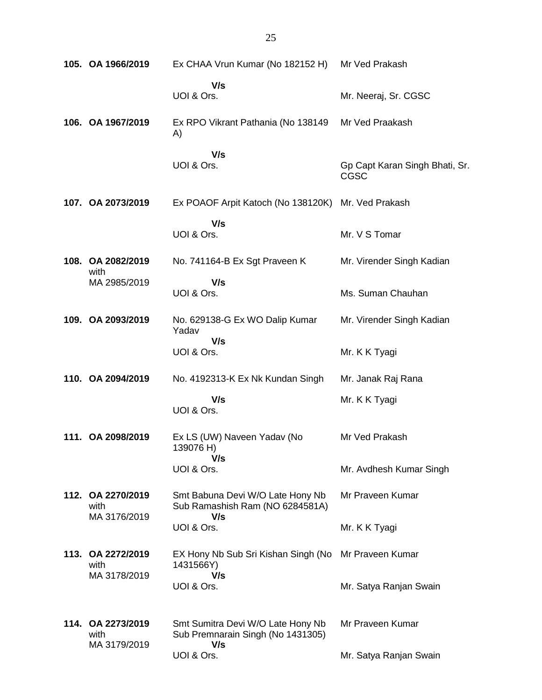| 105. OA 1966/2019                         | Ex CHAA Vrun Kumar (No 182152 H)                                              | Mr Ved Prakash                                |
|-------------------------------------------|-------------------------------------------------------------------------------|-----------------------------------------------|
|                                           | V/s<br>UOI & Ors.                                                             | Mr. Neeraj, Sr. CGSC                          |
| 106. OA 1967/2019                         | Ex RPO Vikrant Pathania (No 138149<br>A)                                      | Mr Ved Praakash                               |
|                                           | V/s<br>UOI & Ors.                                                             | Gp Capt Karan Singh Bhati, Sr.<br><b>CGSC</b> |
| 107. OA 2073/2019                         | Ex POAOF Arpit Katoch (No 138120K) Mr. Ved Prakash                            |                                               |
|                                           | V/s<br>UOI & Ors.                                                             | Mr. V S Tomar                                 |
| 108. OA 2082/2019<br>with                 | No. 741164-B Ex Sgt Praveen K                                                 | Mr. Virender Singh Kadian                     |
| MA 2985/2019                              | V/s<br>UOI & Ors.                                                             | Ms. Suman Chauhan                             |
| 109. OA 2093/2019                         | No. 629138-G Ex WO Dalip Kumar<br>Yadav                                       | Mr. Virender Singh Kadian                     |
|                                           | V/s<br>UOI & Ors.                                                             | Mr. K K Tyagi                                 |
| 110. OA 2094/2019                         | No. 4192313-K Ex Nk Kundan Singh                                              | Mr. Janak Raj Rana                            |
|                                           | V/s<br>UOI & Ors.                                                             | Mr. K K Tyagi                                 |
| 111. OA 2098/2019                         | Ex LS (UW) Naveen Yadav (No<br>139076 H)<br>V/s                               | Mr Ved Prakash                                |
|                                           | UOI & Ors.                                                                    | Mr. Avdhesh Kumar Singh                       |
| 112. OA 2270/2019<br>with<br>MA 3176/2019 | Smt Babuna Devi W/O Late Hony Nb<br>Sub Ramashish Ram (NO 6284581A)<br>V/s    | Mr Praveen Kumar                              |
|                                           | UOI & Ors.                                                                    | Mr. K K Tyagi                                 |
| 113. OA 2272/2019<br>with                 | EX Hony Nb Sub Sri Kishan Singh (No<br>1431566Y)                              | Mr Praveen Kumar                              |
| MA 3178/2019                              | V/s<br>UOI & Ors.                                                             | Mr. Satya Ranjan Swain                        |
| 114. OA 2273/2019<br>with<br>MA 3179/2019 | Smt Sumitra Devi W/O Late Hony Nb<br>Sub Premnarain Singh (No 1431305)<br>V/s | Mr Praveen Kumar                              |
|                                           | UOI & Ors.                                                                    | Mr. Satya Ranjan Swain                        |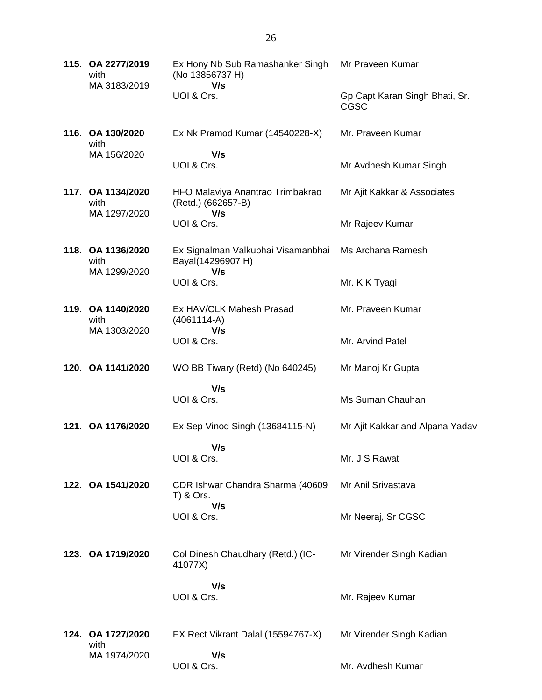|  | 115. OA 2277/2019<br>with<br>MA 3183/2019 | Ex Hony Nb Sub Ramashanker Singh<br>(No 13856737 H)            | Mr Praveen Kumar                              |
|--|-------------------------------------------|----------------------------------------------------------------|-----------------------------------------------|
|  |                                           | V/s<br>UOI & Ors.                                              | Gp Capt Karan Singh Bhati, Sr.<br><b>CGSC</b> |
|  | 116. OA 130/2020<br>with                  | Ex Nk Pramod Kumar (14540228-X)                                | Mr. Praveen Kumar                             |
|  | MA 156/2020                               | V/s<br>UOI & Ors.                                              | Mr Avdhesh Kumar Singh                        |
|  | 117. OA 1134/2020<br>with<br>MA 1297/2020 | HFO Malaviya Anantrao Trimbakrao<br>(Retd.) (662657-B)<br>V/s  | Mr Ajit Kakkar & Associates                   |
|  |                                           | UOI & Ors.                                                     | Mr Rajeev Kumar                               |
|  | 118. OA 1136/2020<br>with<br>MA 1299/2020 | Ex Signalman Valkubhai Visamanbhai<br>Bayal(14296907 H)<br>V/s | Ms Archana Ramesh                             |
|  |                                           | UOI & Ors.                                                     | Mr. K K Tyagi                                 |
|  | 119. OA 1140/2020<br>with<br>MA 1303/2020 | Ex HAV/CLK Mahesh Prasad<br>$(4061114-A)$<br>V/s               | Mr. Praveen Kumar                             |
|  |                                           | UOI & Ors.                                                     | Mr. Arvind Patel                              |
|  | 120. OA 1141/2020                         | WO BB Tiwary (Retd) (No 640245)                                | Mr Manoj Kr Gupta                             |
|  |                                           | V/s<br>UOI & Ors.                                              | Ms Suman Chauhan                              |
|  | 121. OA 1176/2020                         | Ex Sep Vinod Singh (13684115-N)                                | Mr Ajit Kakkar and Alpana Yadav               |
|  |                                           | V/s<br>UOI & Ors.                                              | Mr. J S Rawat                                 |
|  | 122. OA 1541/2020                         | CDR Ishwar Chandra Sharma (40609)<br>T) & Ors.                 | Mr Anil Srivastava                            |
|  |                                           | V/s<br>UOI & Ors.                                              | Mr Neeraj, Sr CGSC                            |
|  | 123. OA 1719/2020                         | Col Dinesh Chaudhary (Retd.) (IC-<br>41077X)                   | Mr Virender Singh Kadian                      |
|  |                                           | V/s<br>UOI & Ors.                                              | Mr. Rajeev Kumar                              |
|  | 124. OA 1727/2020<br>with                 | EX Rect Vikrant Dalal (15594767-X)                             | Mr Virender Singh Kadian                      |
|  | MA 1974/2020                              | V/s<br>UOI & Ors.                                              | Mr. Avdhesh Kumar                             |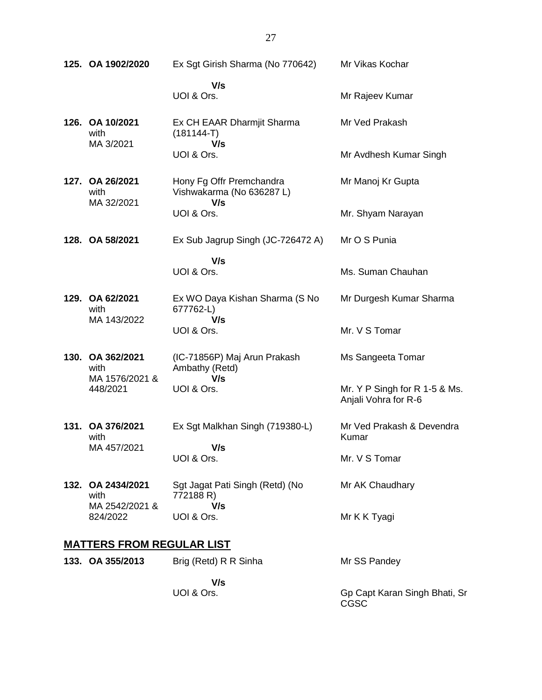| 125. OA 1902/2020                          | Ex Sgt Girish Sharma (No 770642)                             | Mr Vikas Kochar                                       |
|--------------------------------------------|--------------------------------------------------------------|-------------------------------------------------------|
|                                            | V/s<br>UOI & Ors.                                            | Mr Rajeev Kumar                                       |
| 126. OA 10/2021<br>with                    | Ex CH EAAR Dharmjit Sharma<br>$(181144-T)$                   | Mr Ved Prakash                                        |
| MA 3/2021                                  | V/s<br>UOI & Ors.                                            | Mr Avdhesh Kumar Singh                                |
| 127. OA 26/2021<br>with<br>MA 32/2021      | Hony Fg Offr Premchandra<br>Vishwakarma (No 636287 L)<br>V/s | Mr Manoj Kr Gupta                                     |
|                                            | UOI & Ors.                                                   | Mr. Shyam Narayan                                     |
| 128. OA 58/2021                            | Ex Sub Jagrup Singh (JC-726472 A)                            | Mr O S Punia                                          |
|                                            | V/s<br>UOI & Ors.                                            | Ms. Suman Chauhan                                     |
| 129. OA 62/2021<br>with                    | Ex WO Daya Kishan Sharma (S No<br>677762-L)                  | Mr Durgesh Kumar Sharma                               |
| MA 143/2022                                | V/s<br>UOI & Ors.                                            | Mr. V S Tomar                                         |
| 130. OA 362/2021<br>with<br>MA 1576/2021 & | (IC-71856P) Maj Arun Prakash<br>Ambathy (Retd)<br>V/s        | Ms Sangeeta Tomar                                     |
| 448/2021                                   | UOI & Ors.                                                   | Mr. Y P Singh for R 1-5 & Ms.<br>Anjali Vohra for R-6 |
| 131. OA 376/2021<br>with                   | Ex Sgt Malkhan Singh (719380-L)                              | Mr Ved Prakash & Devendra<br>Kumar                    |
| MA 457/2021                                | V/s<br>UOI & Ors.                                            | Mr. V S Tomar                                         |
| 132. OA 2434/2021<br>with                  | Sgt Jagat Pati Singh (Retd) (No<br>772188 R)                 | Mr AK Chaudhary                                       |
| MA 2542/2021 &<br>824/2022                 | V/s<br>UOI & Ors.                                            | Mr K K Tyagi                                          |
| <u>MATTERS FROM REGULAR LIST</u>           |                                                              |                                                       |
| 133. OA 355/2013                           | Brig (Retd) R R Sinha                                        | Mr SS Pandey                                          |

 **V/s** UOI & Ors.

Gp Capt Karan Singh Bhati, Sr CGSC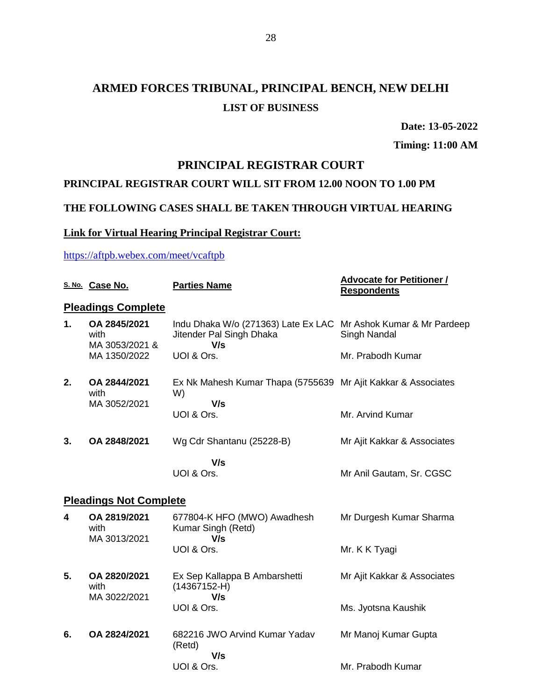**Date: 13-05-2022**

**Timing: 11:00 AM**

#### **PRINCIPAL REGISTRAR COURT**

#### **PRINCIPAL REGISTRAR COURT WILL SIT FROM 12.00 NOON TO 1.00 PM**

### **THE FOLLOWING CASES SHALL BE TAKEN THROUGH VIRTUAL HEARING**

#### **Link for Virtual Hearing Principal Registrar Court:**

#### <https://aftpb.webex.com/meet/vcaftpb>

|    | S. No. Case No.                        | <b>Parties Name</b>                                                                                | <b>Advocate for Petitioner /</b><br><b>Respondents</b> |
|----|----------------------------------------|----------------------------------------------------------------------------------------------------|--------------------------------------------------------|
|    | <b>Pleadings Complete</b>              |                                                                                                    |                                                        |
| 1. | OA 2845/2021<br>with<br>MA 3053/2021 & | Indu Dhaka W/o (271363) Late Ex LAC Mr Ashok Kumar & Mr Pardeep<br>Jitender Pal Singh Dhaka<br>V/s | Singh Nandal                                           |
|    | MA 1350/2022                           | UOI & Ors.                                                                                         | Mr. Prabodh Kumar                                      |
| 2. | OA 2844/2021<br>with<br>MA 3052/2021   | Ex Nk Mahesh Kumar Thapa (5755639 Mr Ajit Kakkar & Associates<br>W)<br>V/s                         |                                                        |
|    |                                        | UOI & Ors.                                                                                         | Mr. Arvind Kumar                                       |
| 3. | OA 2848/2021                           | Wg Cdr Shantanu (25228-B)                                                                          | Mr Ajit Kakkar & Associates                            |
|    |                                        | V/s<br>UOI & Ors.                                                                                  | Mr Anil Gautam, Sr. CGSC                               |
|    | <b>Pleadings Not Complete</b>          |                                                                                                    |                                                        |
| 4  | OA 2819/2021<br>with<br>MA 3013/2021   | 677804-K HFO (MWO) Awadhesh<br>Kumar Singh (Retd)<br>V/s                                           | Mr Durgesh Kumar Sharma                                |
|    |                                        | UOI & Ors.                                                                                         | Mr. K K Tyagi                                          |
| 5. | OA 2820/2021<br>with<br>MA 3022/2021   | Ex Sep Kallappa B Ambarshetti<br>$(14367152-H)$<br>V/s                                             | Mr Ajit Kakkar & Associates                            |
|    |                                        | UOI & Ors.                                                                                         | Ms. Jyotsna Kaushik                                    |
| 6. | OA 2824/2021                           | 682216 JWO Arvind Kumar Yadav<br>(Retd)<br>V/s                                                     | Mr Manoj Kumar Gupta                                   |
|    |                                        | UOI & Ors.                                                                                         | Mr. Prabodh Kumar                                      |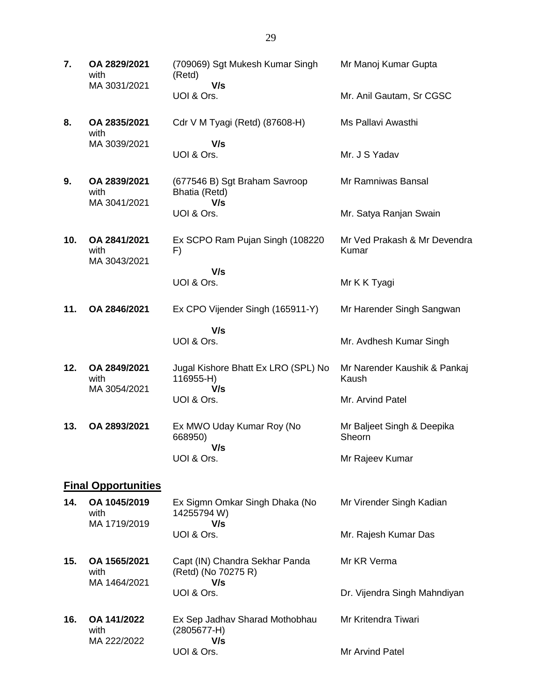| 7.  | OA 2829/2021<br>with                 | (709069) Sgt Mukesh Kumar Singh<br>(Retd)                    | Mr Manoj Kumar Gupta                  |
|-----|--------------------------------------|--------------------------------------------------------------|---------------------------------------|
|     | MA 3031/2021                         | V/s<br>UOI & Ors.                                            | Mr. Anil Gautam, Sr CGSC              |
| 8.  | OA 2835/2021<br>with                 | Cdr V M Tyagi (Retd) (87608-H)                               | Ms Pallavi Awasthi                    |
|     | MA 3039/2021                         | V/s<br>UOI & Ors.                                            | Mr. J S Yadav                         |
| 9.  | OA 2839/2021<br>with<br>MA 3041/2021 | (677546 B) Sgt Braham Savroop<br>Bhatia (Retd)<br>V/s        | Mr Ramniwas Bansal                    |
|     |                                      | UOI & Ors.                                                   | Mr. Satya Ranjan Swain                |
| 10. | OA 2841/2021<br>with<br>MA 3043/2021 | Ex SCPO Ram Pujan Singh (108220)<br>F)                       | Mr Ved Prakash & Mr Devendra<br>Kumar |
|     |                                      | V/s<br>UOI & Ors.                                            | Mr K K Tyagi                          |
| 11. | OA 2846/2021                         | Ex CPO Vijender Singh (165911-Y)                             | Mr Harender Singh Sangwan             |
|     |                                      | V/s<br>UOI & Ors.                                            | Mr. Avdhesh Kumar Singh               |
| 12. | OA 2849/2021<br>with                 | Jugal Kishore Bhatt Ex LRO (SPL) No<br>116955-H)             | Mr Narender Kaushik & Pankaj<br>Kaush |
|     | MA 3054/2021                         | V/s<br>UOI & Ors.                                            | Mr. Arvind Patel                      |
| 13. | OA 2893/2021                         | Ex MWO Uday Kumar Roy (No<br>668950)<br>V/s                  | Mr Baljeet Singh & Deepika<br>Sheorn  |
|     |                                      | UOI & Ors.                                                   | Mr Rajeev Kumar                       |
|     | <b>Final Opportunities</b>           |                                                              |                                       |
| 14. | OA 1045/2019<br>with<br>MA 1719/2019 | Ex Sigmn Omkar Singh Dhaka (No<br>14255794 W)<br>V/s         | Mr Virender Singh Kadian              |
|     |                                      | UOI & Ors.                                                   | Mr. Rajesh Kumar Das                  |
| 15. | OA 1565/2021<br>with<br>MA 1464/2021 | Capt (IN) Chandra Sekhar Panda<br>(Retd) (No 70275 R)<br>V/s | Mr KR Verma                           |
|     |                                      | UOI & Ors.                                                   | Dr. Vijendra Singh Mahndiyan          |
| 16. | OA 141/2022<br>with<br>MA 222/2022   | Ex Sep Jadhav Sharad Mothobhau<br>$(2805677 - H)$<br>V/s     | Mr Kritendra Tiwari                   |
|     |                                      | UOI & Ors.                                                   | Mr Arvind Patel                       |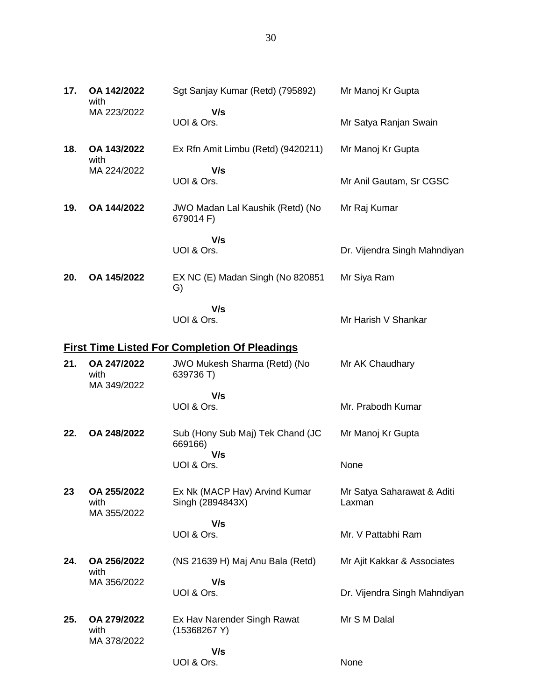| 17. | OA 142/2022<br>with                | Sgt Sanjay Kumar (Retd) (795892)                     | Mr Manoj Kr Gupta            |
|-----|------------------------------------|------------------------------------------------------|------------------------------|
|     | MA 223/2022                        | V/s<br>UOI & Ors.                                    | Mr Satya Ranjan Swain        |
| 18. | OA 143/2022<br>with                | Ex Rfn Amit Limbu (Retd) (9420211)                   | Mr Manoj Kr Gupta            |
|     | MA 224/2022                        | V/s<br>UOI & Ors.                                    | Mr Anil Gautam, Sr CGSC      |
| 19. | OA 144/2022                        | JWO Madan Lal Kaushik (Retd) (No<br>679014 F)        | Mr Raj Kumar                 |
|     |                                    | V/s<br>UOI & Ors.                                    | Dr. Vijendra Singh Mahndiyan |
| 20. | OA 145/2022                        | EX NC (E) Madan Singh (No 820851<br>G)               | Mr Siya Ram                  |
|     |                                    | V/s<br>UOI & Ors.                                    | Mr Harish V Shankar          |
|     |                                    | <b>First Time Listed For Completion Of Pleadings</b> |                              |
| 21. | OA 247/2022<br>with<br>MA 349/2022 | JWO Mukesh Sharma (Retd) (No<br>639736 T)            | Mr AK Chaudhary              |
|     |                                    | V/s<br>UOI & Ors.                                    | Mr. Prabodh Kumar            |
|     |                                    |                                                      |                              |

- **22. OA 248/2022** Sub (Hony Sub Maj) Tek Chand (JC 669166)  **V/s** UOI & Ors. Mr Manoj Kr Gupta None
- **23 OA 255/2022** with MA 355/2022 Ex Nk (MACP Hav) Arvind Kumar Singh (2894843X)  **V/s** Mr Satya Saharawat & Aditi Laxman

UOI & Ors.

**24. OA 256/2022** with MA 356/2022 (NS 21639 H) Maj Anu Bala (Retd)  **V/s** UOI & Ors. Mr Ajit Kakkar & Associates Dr. Vijendra Singh Mahndiyan

Mr. V Pattabhi Ram

None

**25. OA 279/2022** with MA 378/2022 Ex Hav Narender Singh Rawat (15368267 Y)  **V/s** Mr S M Dalal